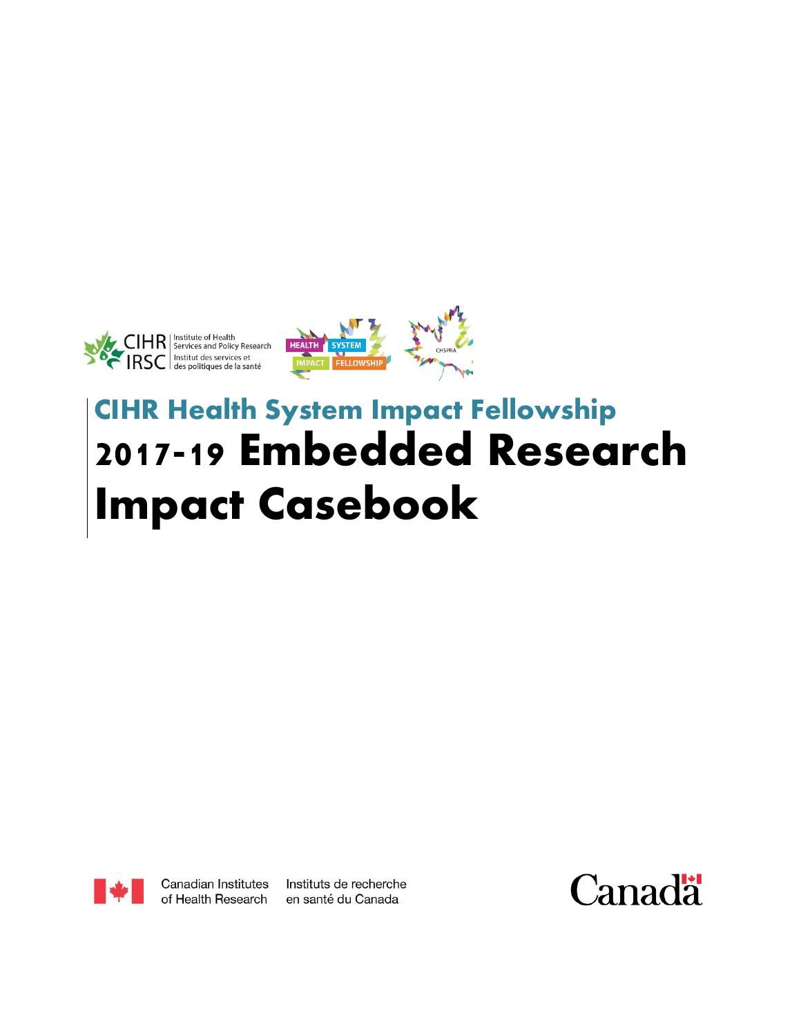



# **CIHR Health System Impact Fellowship 2017-19 Embedded Research Impact Casebook**



Canadian Institutes of Health Research Instituts de recherche en santé du Canada

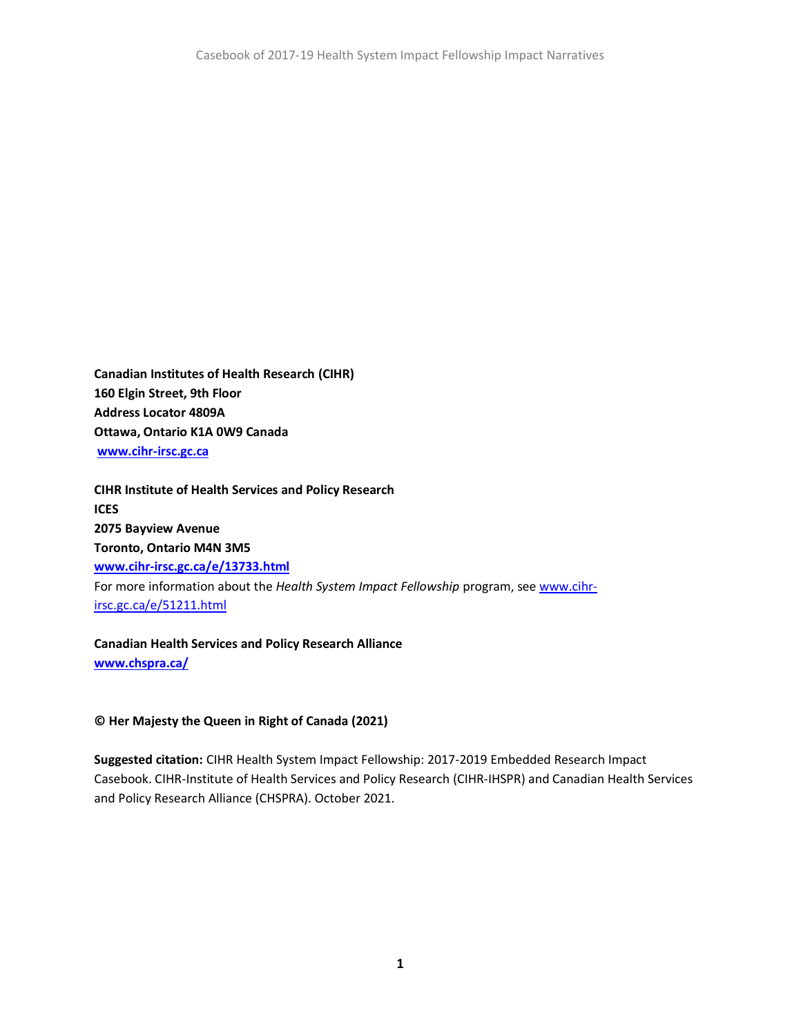**Canadian Institutes of Health Research (CIHR) 160 Elgin Street, 9th Floor Address Locator 4809A Ottawa, Ontario K1A 0W9 Canada [www.cihr-irsc.gc.ca](https://can01.safelinks.protection.outlook.com/?url=http%3A%2F%2Fwww.cihr-irsc.gc.ca%2F&data=04%7C01%7Cethompson.ihspr%40ices.on.ca%7C08d29a877bc94d11577408d97e93e892%7C96cfb6930adb463ba787339492037306%7C0%7C0%7C637679996142882766%7CUnknown%7CTWFpbGZsb3d8eyJWIjoiMC4wLjAwMDAiLCJQIjoiV2luMzIiLCJBTiI6Ik1haWwiLCJXVCI6Mn0%3D%7C3000&sdata=P0y9EvLRob0yfCETFbR6xEP%2BZn4pUaBUMseVOp157wc%3D&reserved=0)**

**CIHR Institute of Health Services and Policy Research ICES 2075 Bayview Avenue Toronto, Ontario M4N 3M5 [www.cihr-irsc.gc.ca/e/13733.html](http://www.cihr-irsc.gc.ca/e/13733.html)** For more information about the *Health System Impact Fellowship* program, se[e www.cihr](http://www.cihr-irsc.gc.ca/e/51211.html)[irsc.gc.ca/e/51211.html](http://www.cihr-irsc.gc.ca/e/51211.html)

**Canadian Health Services and Policy Research Alliance [www.chspra.ca/](http://www.chspra.ca/)**

#### **© Her Majesty the Queen in Right of Canada (2021)**

**Suggested citation:** CIHR Health System Impact Fellowship: 2017-2019 Embedded Research Impact Casebook. CIHR-Institute of Health Services and Policy Research (CIHR-IHSPR) and Canadian Health Services and Policy Research Alliance (CHSPRA). October 2021.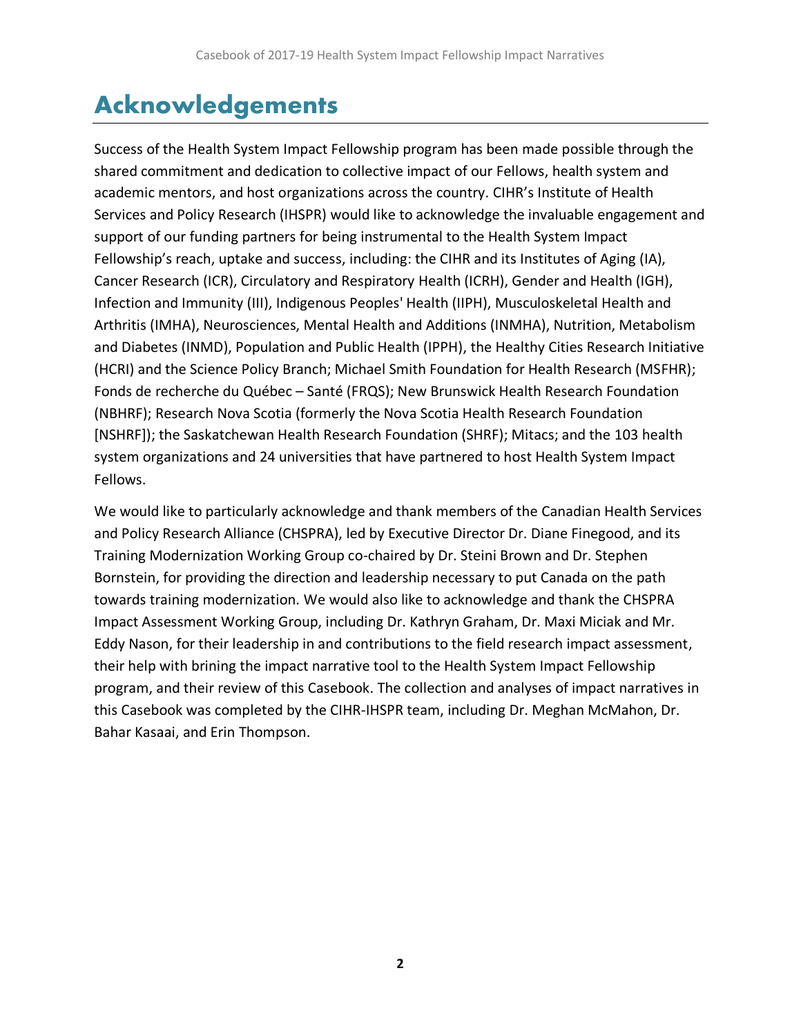# <span id="page-2-0"></span>Acknowledgements

Success of the Health System Impact Fellowship program has been made possible through the shared commitment and dedication to collective impact of our Fellows, health system and academic mentors, and host organizations across the country. CIHR's Institute of Health Services and Policy Research (IHSPR) would like to acknowledge the invaluable engagement and support of our funding partners for being instrumental to the Health System Impact Fellowship's reach, uptake and success, including: the CIHR and its Institutes of Aging (IA), Cancer Research (ICR), Circulatory and Respiratory Health (ICRH), Gender and Health (IGH), Infection and Immunity (III), Indigenous Peoples' Health (IIPH), Musculoskeletal Health and Arthritis (IMHA), Neurosciences, Mental Health and Additions (INMHA), Nutrition, Metabolism and Diabetes (INMD), Population and Public Health (IPPH), the Healthy Cities Research Initiative (HCRI) and the Science Policy Branch; Michael Smith Foundation for Health Research (MSFHR); Fonds de recherche du Québec – Santé (FRQS); New Brunswick Health Research Foundation (NBHRF); Research Nova Scotia (formerly the Nova Scotia Health Research Foundation [NSHRF]); the Saskatchewan Health Research Foundation (SHRF); Mitacs; and the 103 health system organizations and 24 universities that have partnered to host Health System Impact Fellows.

We would like to particularly acknowledge and thank members of the Canadian Health Services and Policy Research Alliance (CHSPRA), led by Executive Director Dr. Diane Finegood, and its Training Modernization Working Group co-chaired by Dr. Steini Brown and Dr. Stephen Bornstein, for providing the direction and leadership necessary to put Canada on the path towards training modernization. We would also like to acknowledge and thank the CHSPRA Impact Assessment Working Group, including Dr. Kathryn Graham, Dr. Maxi Miciak and Mr. Eddy Nason, for their leadership in and contributions to the field research impact assessment, their help with brining the impact narrative tool to the Health System Impact Fellowship program, and their review of this Casebook. The collection and analyses of impact narratives in this Casebook was completed by the CIHR-IHSPR team, including Dr. Meghan McMahon, Dr. Bahar Kasaai, and Erin Thompson.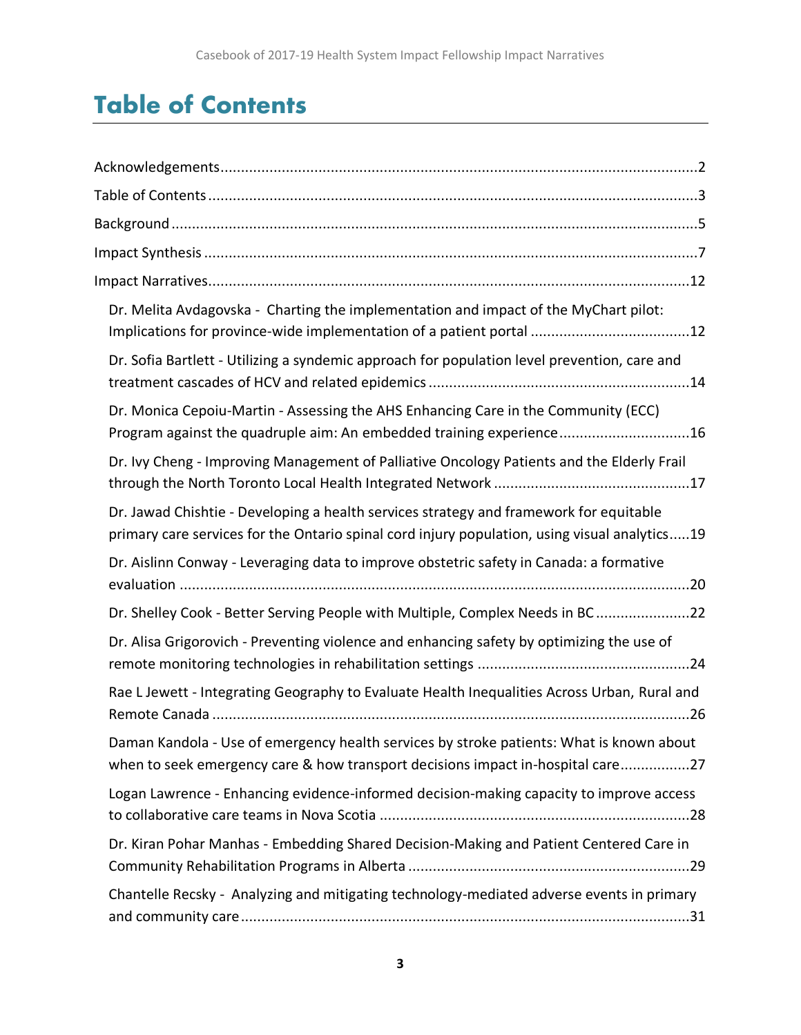# <span id="page-3-0"></span>Table of Contents

| Dr. Melita Avdagovska - Charting the implementation and impact of the MyChart pilot:<br>Implications for province-wide implementation of a patient portal 12                            |
|-----------------------------------------------------------------------------------------------------------------------------------------------------------------------------------------|
| Dr. Sofia Bartlett - Utilizing a syndemic approach for population level prevention, care and                                                                                            |
| Dr. Monica Cepoiu-Martin - Assessing the AHS Enhancing Care in the Community (ECC)<br>Program against the quadruple aim: An embedded training experience16                              |
| Dr. Ivy Cheng - Improving Management of Palliative Oncology Patients and the Elderly Frail                                                                                              |
| Dr. Jawad Chishtie - Developing a health services strategy and framework for equitable<br>primary care services for the Ontario spinal cord injury population, using visual analytics19 |
| Dr. Aislinn Conway - Leveraging data to improve obstetric safety in Canada: a formative                                                                                                 |
| Dr. Shelley Cook - Better Serving People with Multiple, Complex Needs in BC22                                                                                                           |
| Dr. Alisa Grigorovich - Preventing violence and enhancing safety by optimizing the use of                                                                                               |
| Rae L Jewett - Integrating Geography to Evaluate Health Inequalities Across Urban, Rural and                                                                                            |
| Daman Kandola - Use of emergency health services by stroke patients: What is known about<br>when to seek emergency care & how transport decisions impact in-hospital care27             |
| Logan Lawrence - Enhancing evidence-informed decision-making capacity to improve access                                                                                                 |
| Dr. Kiran Pohar Manhas - Embedding Shared Decision-Making and Patient Centered Care in                                                                                                  |
| Chantelle Recsky - Analyzing and mitigating technology-mediated adverse events in primary                                                                                               |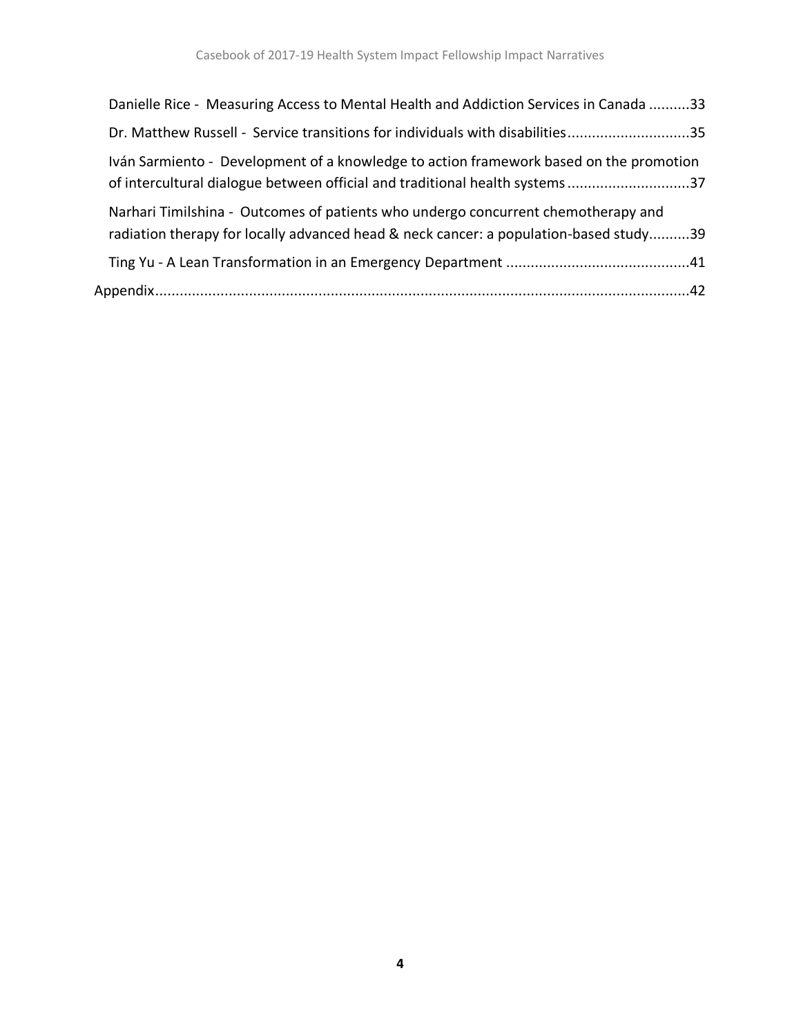| Danielle Rice - Measuring Access to Mental Health and Addiction Services in Canada 33                                                                                      |  |
|----------------------------------------------------------------------------------------------------------------------------------------------------------------------------|--|
| Dr. Matthew Russell - Service transitions for individuals with disabilities35                                                                                              |  |
| Iván Sarmiento - Development of a knowledge to action framework based on the promotion<br>of intercultural dialogue between official and traditional health systems37      |  |
| Narhari Timilshina - Outcomes of patients who undergo concurrent chemotherapy and<br>radiation therapy for locally advanced head & neck cancer: a population-based study39 |  |
|                                                                                                                                                                            |  |
|                                                                                                                                                                            |  |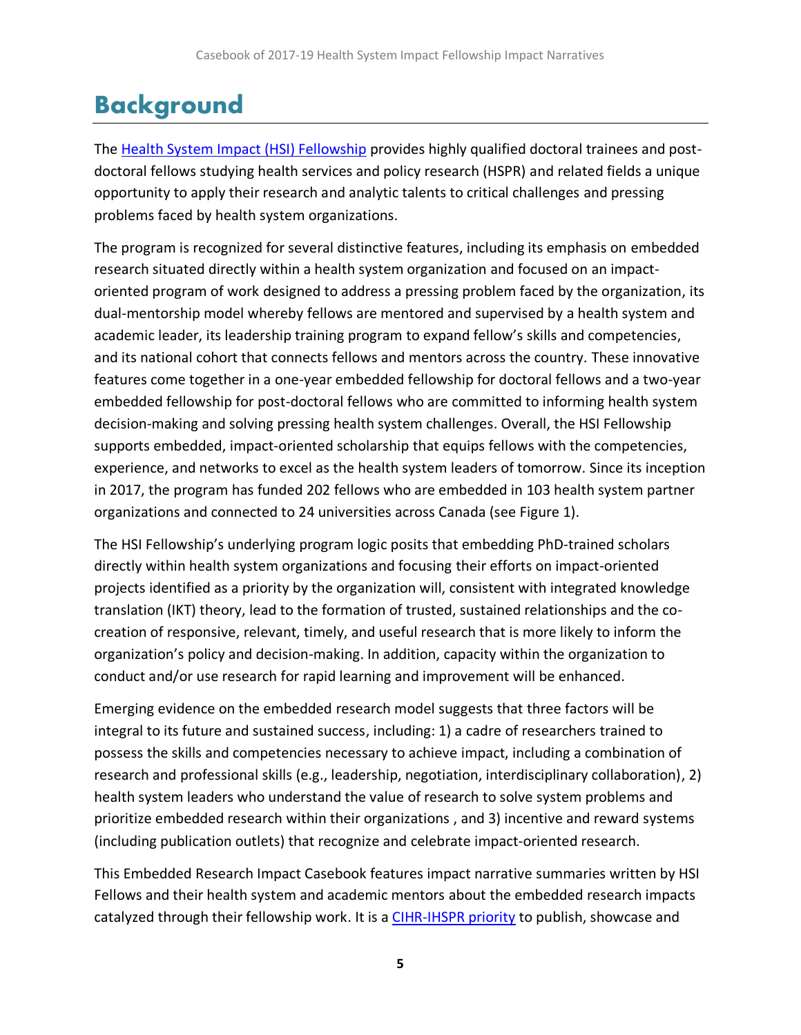# <span id="page-5-0"></span>Background

The [Health System Impact \(HSI\) Fellowship](https://cihr-irsc.gc.ca/e/51211.html) provides highly qualified doctoral trainees and postdoctoral fellows studying health services and policy research (HSPR) and related fields a unique opportunity to apply their research and analytic talents to critical challenges and pressing problems faced by health system organizations.

The program is recognized for several distinctive features, including its emphasis on embedded research situated directly within a health system organization and focused on an impactoriented program of work designed to address a pressing problem faced by the organization, its dual-mentorship model whereby fellows are mentored and supervised by a health system and academic leader, its leadership training program to expand fellow's skills and competencies, and its national cohort that connects fellows and mentors across the country. These innovative features come together in a one-year embedded fellowship for doctoral fellows and a two-year embedded fellowship for post-doctoral fellows who are committed to informing health system decision-making and solving pressing health system challenges. Overall, the HSI Fellowship supports embedded, impact-oriented scholarship that equips fellows with the competencies, experience, and networks to excel as the health system leaders of tomorrow. Since its inception in 2017, the program has funded 202 fellows who are embedded in 103 health system partner organizations and connected to 24 universities across Canada (see Figure 1).

The HSI Fellowship's underlying program logic posits that embedding PhD-trained scholars directly within health system organizations and focusing their efforts on impact-oriented projects identified as a priority by the organization will, consistent with integrated knowledge translation (IKT) theory, lead to the formation of trusted, sustained relationships and the cocreation of responsive, relevant, timely, and useful research that is more likely to inform the organization's policy and decision-making. In addition, capacity within the organization to conduct and/or use research for rapid learning and improvement will be enhanced.

Emerging evidence on the embedded research model suggests that three factors will be integral to its future and sustained success, including: 1) a cadre of researchers trained to possess the skills and competencies necessary to achieve impact, including a combination of research and professional skills (e.g., leadership, negotiation, interdisciplinary collaboration), 2) health system leaders who understand the value of research to solve system problems and prioritize embedded research within their organizations , and 3) incentive and reward systems (including publication outlets) that recognize and celebrate impact-oriented research.

This Embedded Research Impact Casebook features impact narrative summaries written by HSI Fellows and their health system and academic mentors about the embedded research impacts catalyzed through their fellowship work. It is [a CIHR-IHSPR priority](https://cihr-irsc.gc.ca/e/52481.html#section_7_2) to publish, showcase and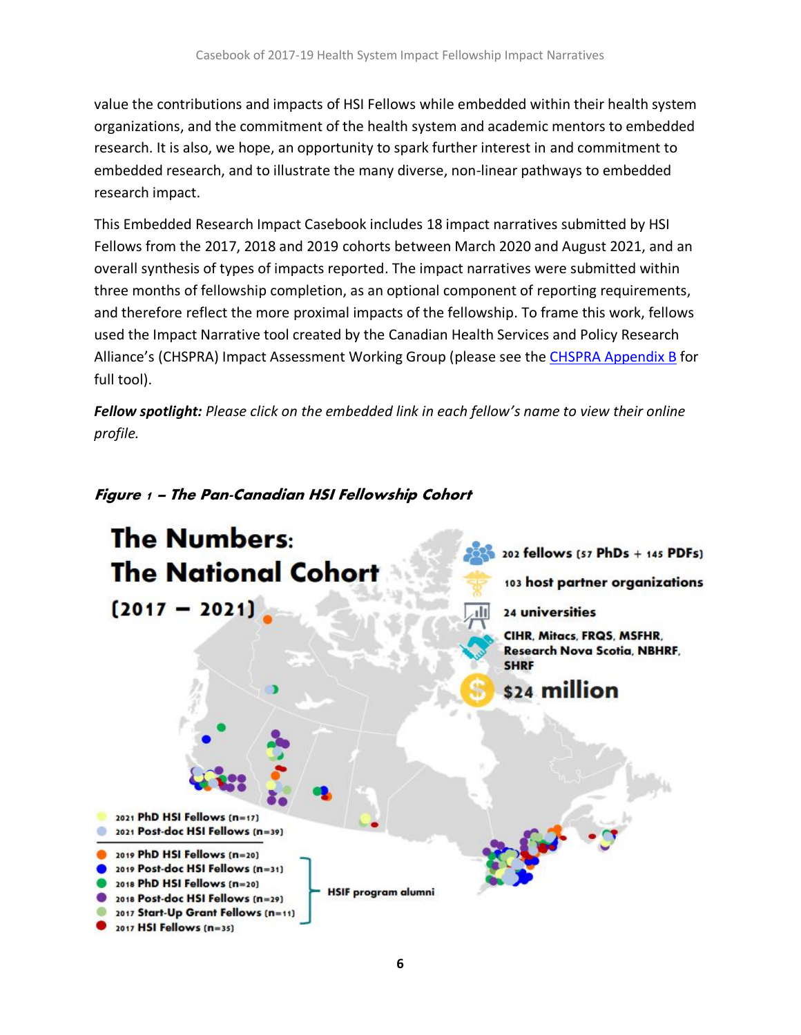value the contributions and impacts of HSI Fellows while embedded within their health system organizations, and the commitment of the health system and academic mentors to embedded research. It is also, we hope, an opportunity to spark further interest in and commitment to embedded research, and to illustrate the many diverse, non-linear pathways to embedded research impact.

This Embedded Research Impact Casebook includes 18 impact narratives submitted by HSI Fellows from the 2017, 2018 and 2019 cohorts between March 2020 and August 2021, and an overall synthesis of types of impacts reported. The impact narratives were submitted within three months of fellowship completion, as an optional component of reporting requirements, and therefore reflect the more proximal impacts of the fellowship. To frame this work, fellows used the Impact Narrative tool created by the Canadian Health Services and Policy Research Alliance's (CHSPRA) Impact Assessment Working Group (please see the CHSPRA [Appendix B](https://docs.wixstatic.com/ugd/5adc92_3ae941eaedb04ab4a66b6f83f98a479d.pdf?platform=hootsuite&mc_cid=47f94af269&mc_eid=ffbad33983) for full tool).

*Fellow spotlight: Please click on the embedded link in each fellow's name to view their online profile.*



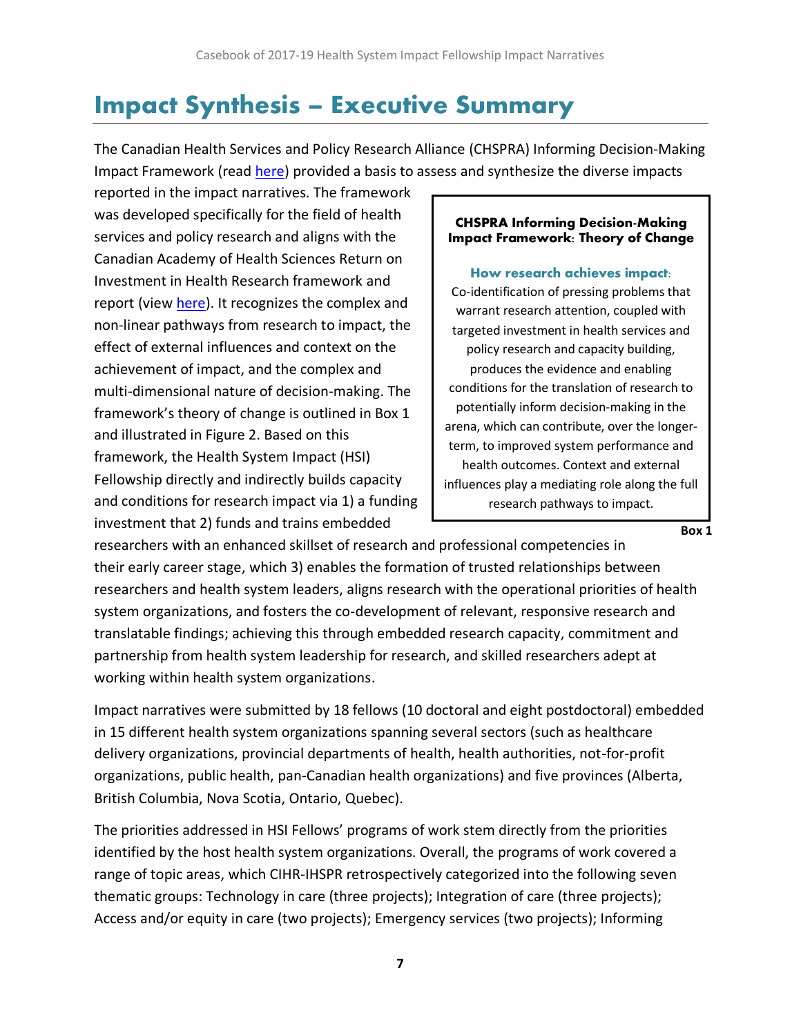# <span id="page-7-0"></span>Impact Synthesis – Executive Summary

The Canadian Health Services and Policy Research Alliance (CHSPRA) Informing Decision-Making Impact Framework (read [here\)](https://docs.wixstatic.com/ugd/5adc92_3ae941eaedb04ab4a66b6f83f98a479d.pdf?platform=hootsuite&mc_cid=47f94af269&mc_eid=ffbad33983) provided a basis to assess and synthesize the diverse impacts

reported in the impact narratives. The framework was developed specifically for the field of health services and policy research and aligns with the Canadian Academy of Health Sciences Return on Investment in Health Research framework and report (view [here\)](https://www.cahs-acss.ca/wp-content/uploads/2011/09/ROI_FullReport.pdf). It recognizes the complex and non-linear pathways from research to impact, the effect of external influences and context on the achievement of impact, and the complex and multi-dimensional nature of decision-making. The framework's theory of change is outlined in Box 1 and illustrated in Figure 2. Based on this framework, the Health System Impact (HSI) Fellowship directly and indirectly builds capacity and conditions for research impact via 1) a funding investment that 2) funds and trains embedded

#### **CHSPRA Informing Decision-Making Impact Framework: Theory of Change**

**How research achieves impact:** Co-identification of pressing problems that warrant research attention, coupled with targeted investment in health services and policy research and capacity building, produces the evidence and enabling conditions for the translation of research to potentially inform decision-making in the arena, which can contribute, over the longerterm, to improved system performance and health outcomes. Context and external influences play a mediating role along the full research pathways to impact.

**Box 1**

researchers with an enhanced skillset of research and professional competencies in their early career stage, which 3) enables the formation of trusted relationships between researchers and health system leaders, aligns research with the operational priorities of health system organizations, and fosters the co-development of relevant, responsive research and translatable findings; achieving this through embedded research capacity, commitment and partnership from health system leadership for research, and skilled researchers adept at working within health system organizations.

Impact narratives were submitted by 18 fellows (10 doctoral and eight postdoctoral) embedded in 15 different health system organizations spanning several sectors (such as healthcare delivery organizations, provincial departments of health, health authorities, not-for-profit organizations, public health, pan-Canadian health organizations) and five provinces (Alberta, British Columbia, Nova Scotia, Ontario, Quebec).

The priorities addressed in HSI Fellows' programs of work stem directly from the priorities identified by the host health system organizations. Overall, the programs of work covered a range of topic areas, which CIHR-IHSPR retrospectively categorized into the following seven thematic groups: Technology in care (three projects); Integration of care (three projects); Access and/or equity in care (two projects); Emergency services (two projects); Informing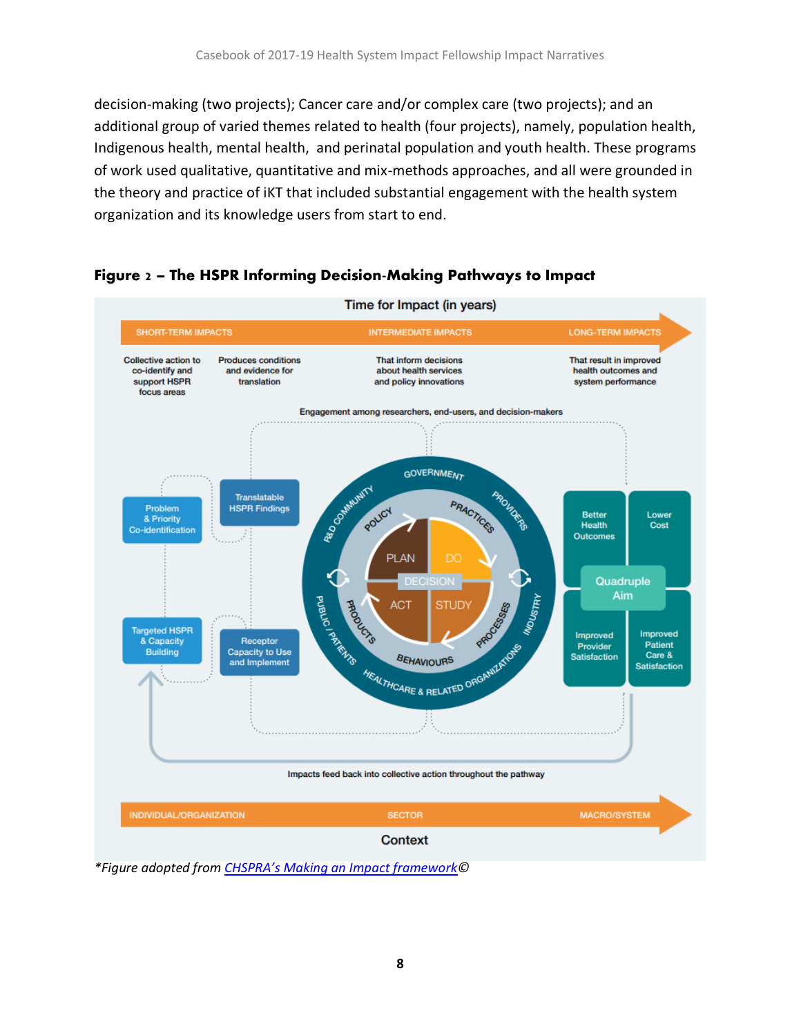decision-making (two projects); Cancer care and/or complex care (two projects); and an additional group of varied themes related to health (four projects), namely, population health, Indigenous health, mental health, and perinatal population and youth health. These programs of work used qualitative, quantitative and mix-methods approaches, and all were grounded in the theory and practice of iKT that included substantial engagement with the health system organization and its knowledge users from start to end.





*\*Figure adopted from CHSPRA's [Making an Impact framework©](https://docs.wixstatic.com/ugd/5adc92_3ae941eaedb04ab4a66b6f83f98a479d.pdf?platform=hootsuite&mc_cid=47f94af269&mc_eid=ffbad33983)*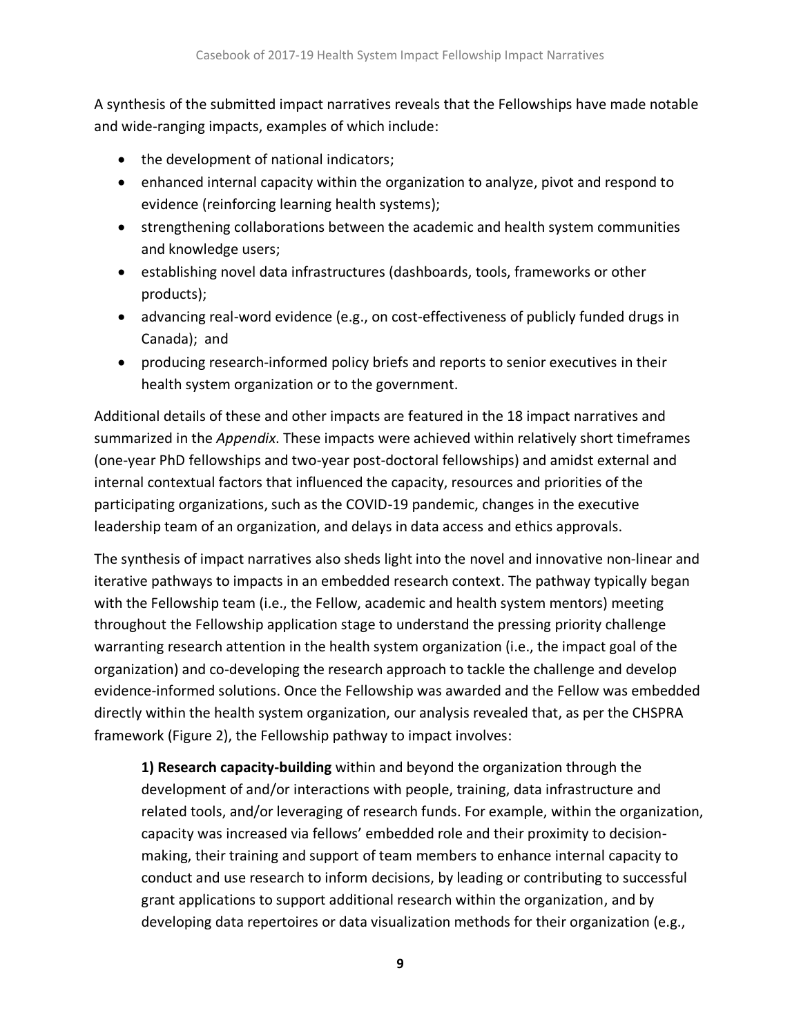A synthesis of the submitted impact narratives reveals that the Fellowships have made notable and wide-ranging impacts, examples of which include:

- the development of national indicators;
- enhanced internal capacity within the organization to analyze, pivot and respond to evidence (reinforcing learning health systems);
- strengthening collaborations between the academic and health system communities and knowledge users;
- establishing novel data infrastructures (dashboards, tools, frameworks or other products);
- advancing real-word evidence (e.g., on cost-effectiveness of publicly funded drugs in Canada); and
- producing research-informed policy briefs and reports to senior executives in their health system organization or to the government.

Additional details of these and other impacts are featured in the 18 impact narratives and summarized in the *Appendix*. These impacts were achieved within relatively short timeframes (one-year PhD fellowships and two-year post-doctoral fellowships) and amidst external and internal contextual factors that influenced the capacity, resources and priorities of the participating organizations, such as the COVID-19 pandemic, changes in the executive leadership team of an organization, and delays in data access and ethics approvals.

The synthesis of impact narratives also sheds light into the novel and innovative non-linear and iterative pathways to impacts in an embedded research context. The pathway typically began with the Fellowship team (i.e., the Fellow, academic and health system mentors) meeting throughout the Fellowship application stage to understand the pressing priority challenge warranting research attention in the health system organization (i.e., the impact goal of the organization) and co-developing the research approach to tackle the challenge and develop evidence-informed solutions. Once the Fellowship was awarded and the Fellow was embedded directly within the health system organization, our analysis revealed that, as per the CHSPRA framework (Figure 2), the Fellowship pathway to impact involves:

**1) Research capacity-building** within and beyond the organization through the development of and/or interactions with people, training, data infrastructure and related tools, and/or leveraging of research funds. For example, within the organization, capacity was increased via fellows' embedded role and their proximity to decisionmaking, their training and support of team members to enhance internal capacity to conduct and use research to inform decisions, by leading or contributing to successful grant applications to support additional research within the organization, and by developing data repertoires or data visualization methods for their organization (e.g.,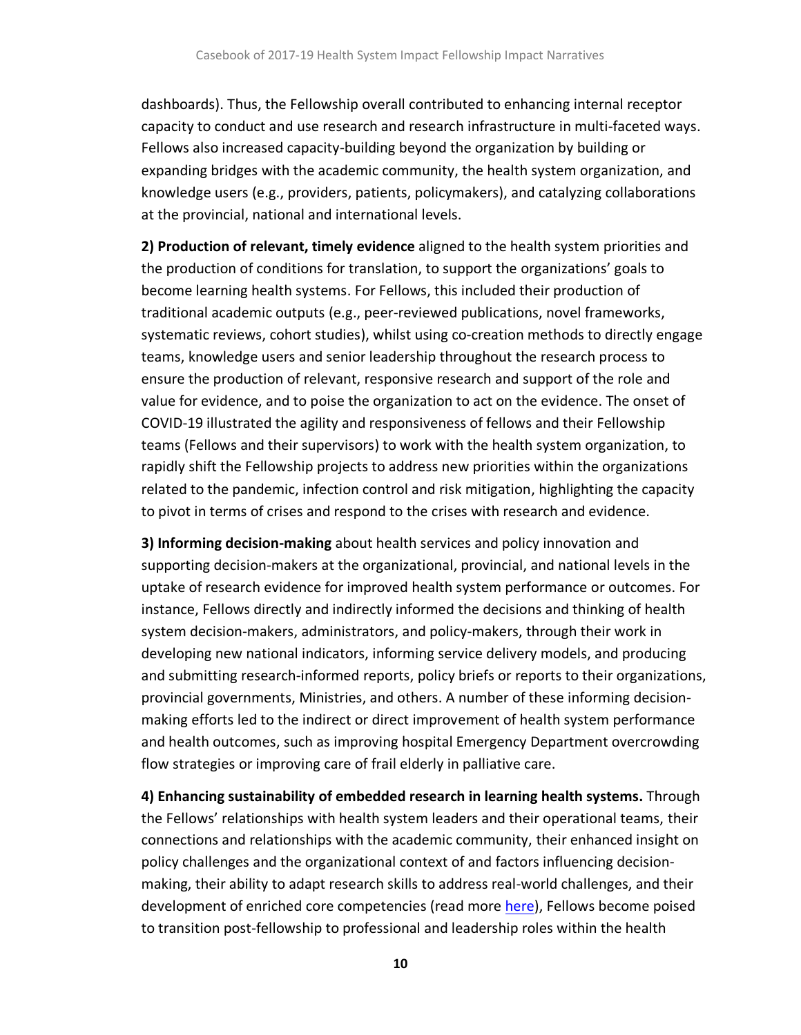dashboards). Thus, the Fellowship overall contributed to enhancing internal receptor capacity to conduct and use research and research infrastructure in multi-faceted ways. Fellows also increased capacity-building beyond the organization by building or expanding bridges with the academic community, the health system organization, and knowledge users (e.g., providers, patients, policymakers), and catalyzing collaborations at the provincial, national and international levels.

**2) Production of relevant, timely evidence** aligned to the health system priorities and the production of conditions for translation, to support the organizations' goals to become learning health systems. For Fellows, this included their production of traditional academic outputs (e.g., peer-reviewed publications, novel frameworks, systematic reviews, cohort studies), whilst using co-creation methods to directly engage teams, knowledge users and senior leadership throughout the research process to ensure the production of relevant, responsive research and support of the role and value for evidence, and to poise the organization to act on the evidence. The onset of COVID-19 illustrated the agility and responsiveness of fellows and their Fellowship teams (Fellows and their supervisors) to work with the health system organization, to rapidly shift the Fellowship projects to address new priorities within the organizations related to the pandemic, infection control and risk mitigation, highlighting the capacity to pivot in terms of crises and respond to the crises with research and evidence.

**3) Informing decision-making** about health services and policy innovation and supporting decision-makers at the organizational, provincial, and national levels in the uptake of research evidence for improved health system performance or outcomes. For instance, Fellows directly and indirectly informed the decisions and thinking of health system decision-makers, administrators, and policy-makers, through their work in developing new national indicators, informing service delivery models, and producing and submitting research-informed reports, policy briefs or reports to their organizations, provincial governments, Ministries, and others. A number of these informing decisionmaking efforts led to the indirect or direct improvement of health system performance and health outcomes, such as improving hospital Emergency Department overcrowding flow strategies or improving care of frail elderly in palliative care.

**4) Enhancing sustainability of embedded research in learning health systems.** Through the Fellows' relationships with health system leaders and their operational teams, their connections and relationships with the academic community, their enhanced insight on policy challenges and the organizational context of and factors influencing decisionmaking, their ability to adapt research skills to address real-world challenges, and their development of enriched core competencies (read more [here\)](https://cihr-irsc.gc.ca/e/49883.html), Fellows become poised to transition post-fellowship to professional and leadership roles within the health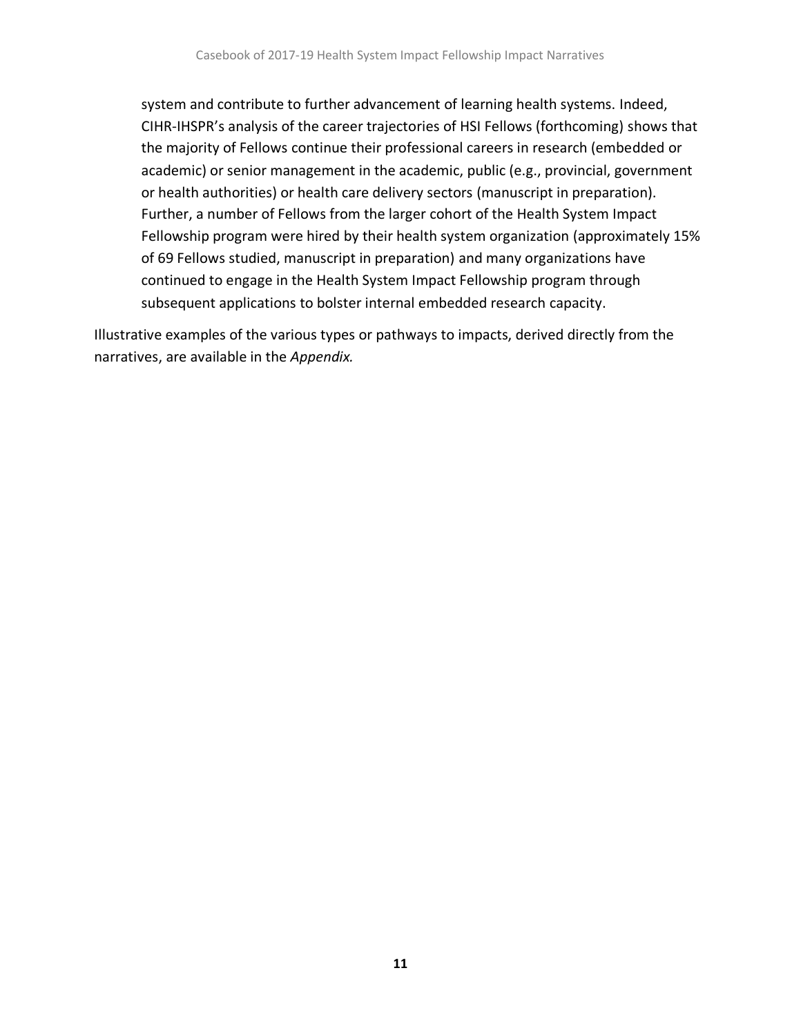system and contribute to further advancement of learning health systems. Indeed, CIHR-IHSPR's analysis of the career trajectories of HSI Fellows (forthcoming) shows that the majority of Fellows continue their professional careers in research (embedded or academic) or senior management in the academic, public (e.g., provincial, government or health authorities) or health care delivery sectors (manuscript in preparation). Further, a number of Fellows from the larger cohort of the Health System Impact Fellowship program were hired by their health system organization (approximately 15% of 69 Fellows studied, manuscript in preparation) and many organizations have continued to engage in the Health System Impact Fellowship program through subsequent applications to bolster internal embedded research capacity.

<span id="page-11-0"></span>Illustrative examples of the various types or pathways to impacts, derived directly from the narratives, are available in the *Appendix.*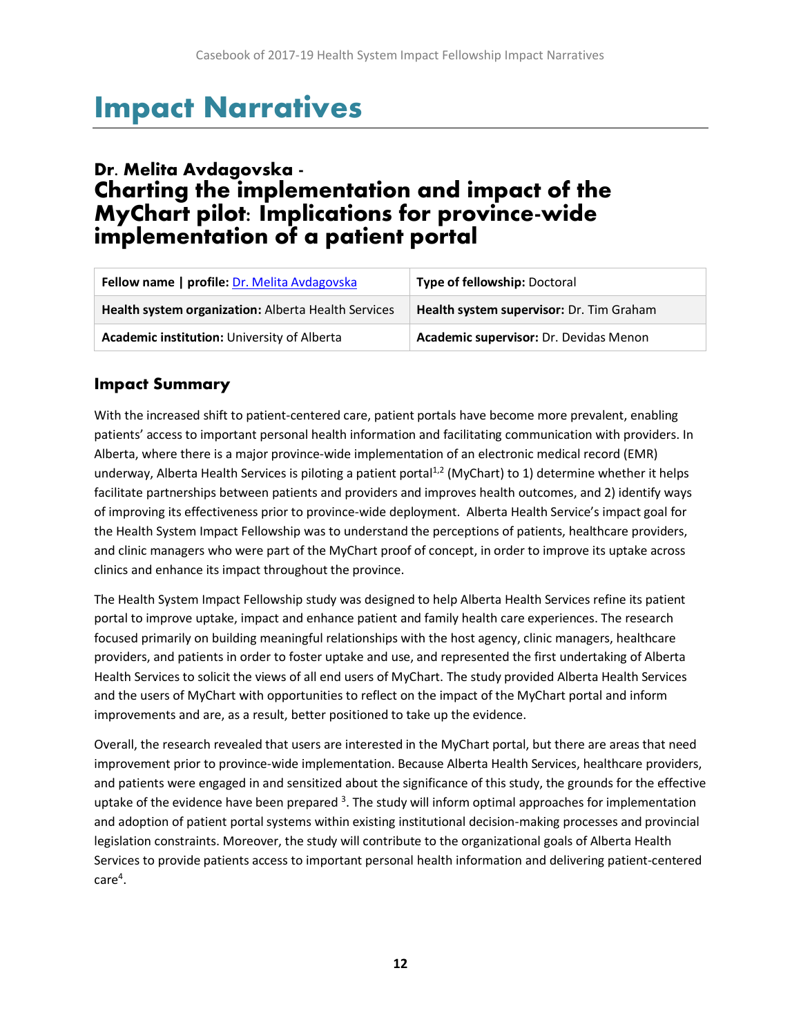# Impact Narratives

# <span id="page-12-0"></span>Dr. Melita Avdagovska - Charting the implementation and impact of the MyChart pilot: Implications for province-wide implementation of a patient portal

| Fellow name   profile: Dr. Melita Avdagovska        | <b>Type of fellowship: Doctoral</b>      |
|-----------------------------------------------------|------------------------------------------|
| Health system organization: Alberta Health Services | Health system supervisor: Dr. Tim Graham |
| Academic institution: University of Alberta         | Academic supervisor: Dr. Devidas Menon   |

## **Impact Summary**

With the increased shift to patient-centered care, patient portals have become more prevalent, enabling patients' access to important personal health information and facilitating communication with providers. In Alberta, where there is a major province-wide implementation of an electronic medical record (EMR) underway, Alberta Health Services is piloting a patient portal<sup>1,2</sup> (MyChart) to 1) determine whether it helps facilitate partnerships between patients and providers and improves health outcomes, and 2) identify ways of improving its effectiveness prior to province-wide deployment. Alberta Health Service's impact goal for the Health System Impact Fellowship was to understand the perceptions of patients, healthcare providers, and clinic managers who were part of the MyChart proof of concept, in order to improve its uptake across clinics and enhance its impact throughout the province.

The Health System Impact Fellowship study was designed to help Alberta Health Services refine its patient portal to improve uptake, impact and enhance patient and family health care experiences. The research focused primarily on building meaningful relationships with the host agency, clinic managers, healthcare providers, and patients in order to foster uptake and use, and represented the first undertaking of Alberta Health Services to solicit the views of all end users of MyChart. The study provided Alberta Health Services and the users of MyChart with opportunities to reflect on the impact of the MyChart portal and inform improvements and are, as a result, better positioned to take up the evidence.

Overall, the research revealed that users are interested in the MyChart portal, but there are areas that need improvement prior to province-wide implementation. Because Alberta Health Services, healthcare providers, and patients were engaged in and sensitized about the significance of this study, the grounds for the effective uptake of the evidence have been prepared <sup>3</sup>. The study will inform optimal approaches for implementation and adoption of patient portal systems within existing institutional decision-making processes and provincial legislation constraints. Moreover, the study will contribute to the organizational goals of Alberta Health Services to provide patients access to important personal health information and delivering patient-centered  $\mathsf{care}^4.$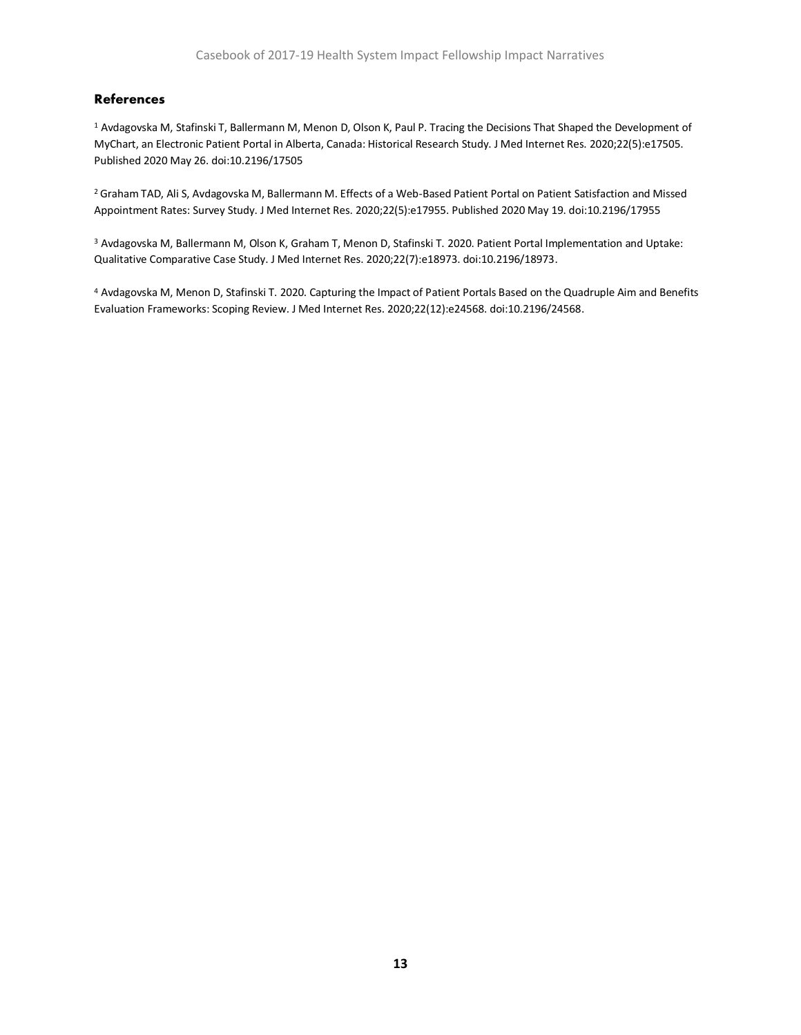#### **References**

<sup>1</sup> Avdagovska M, Stafinski T, Ballermann M, Menon D, Olson K, Paul P. Tracing the Decisions That Shaped the Development of MyChart, an Electronic Patient Portal in Alberta, Canada: Historical Research Study. J Med Internet Res. 2020;22(5):e17505. Published 2020 May 26. doi:10.2196/17505

<sup>2</sup>Graham TAD, Ali S, Avdagovska M, Ballermann M. Effects of a Web-Based Patient Portal on Patient Satisfaction and Missed Appointment Rates: Survey Study. J Med Internet Res. 2020;22(5):e17955. Published 2020 May 19. doi:10.2196/17955

<sup>3</sup> Avdagovska M, Ballermann M, Olson K, Graham T, Menon D, Stafinski T. 2020. Patient Portal Implementation and Uptake: Qualitative Comparative Case Study. J Med Internet Res. 2020;22(7):e18973. doi:10.2196/18973.

<span id="page-13-0"></span><sup>4</sup> Avdagovska M, Menon D, Stafinski T. 2020. Capturing the Impact of Patient Portals Based on the Quadruple Aim and Benefits Evaluation Frameworks: Scoping Review. J Med Internet Res. 2020;22(12):e24568. doi:10.2196/24568.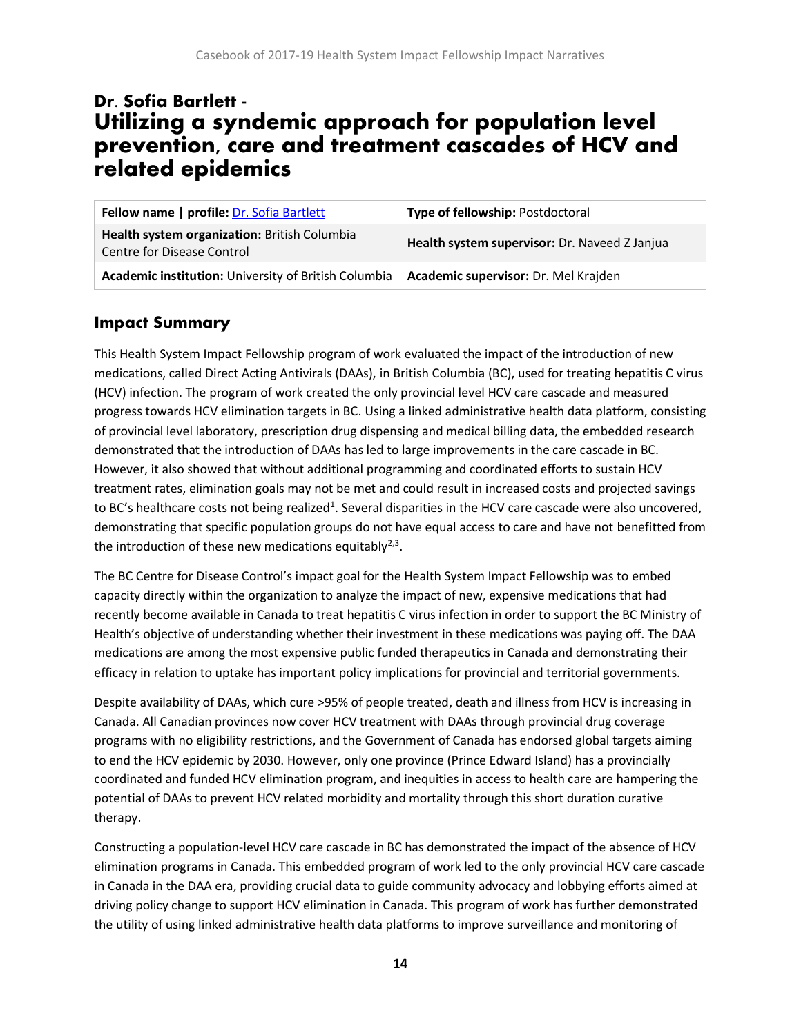# Dr. Sofia Bartlett - Utilizing a syndemic approach for population level prevention, care and treatment cascades of HCV and related epidemics

| Fellow name   profile: Dr. Sofia Bartlett                                  | Type of fellowship: Postdoctoral              |
|----------------------------------------------------------------------------|-----------------------------------------------|
| Health system organization: British Columbia<br>Centre for Disease Control | Health system supervisor: Dr. Naveed Z Janjua |
| Academic institution: University of British Columbia                       | Academic supervisor: Dr. Mel Krajden          |

## **Impact Summary**

This Health System Impact Fellowship program of work evaluated the impact of the introduction of new medications, called Direct Acting Antivirals (DAAs), in British Columbia (BC), used for treating hepatitis C virus (HCV) infection. The program of work created the only provincial level HCV care cascade and measured progress towards HCV elimination targets in BC. Using a linked administrative health data platform, consisting of provincial level laboratory, prescription drug dispensing and medical billing data, the embedded research demonstrated that the introduction of DAAs has led to large improvements in the care cascade in BC. However, it also showed that without additional programming and coordinated efforts to sustain HCV treatment rates, elimination goals may not be met and could result in increased costs and projected savings to BC's healthcare costs not being realized<sup>1</sup>. Several disparities in the HCV care cascade were also uncovered, demonstrating that specific population groups do not have equal access to care and have not benefitted from the introduction of these new medications equitably<sup>2,3</sup>.

The BC Centre for Disease Control's impact goal for the Health System Impact Fellowship was to embed capacity directly within the organization to analyze the impact of new, expensive medications that had recently become available in Canada to treat hepatitis C virus infection in order to support the BC Ministry of Health's objective of understanding whether their investment in these medications was paying off. The DAA medications are among the most expensive public funded therapeutics in Canada and demonstrating their efficacy in relation to uptake has important policy implications for provincial and territorial governments.

Despite availability of DAAs, which cure >95% of people treated, death and illness from HCV is increasing in Canada. All Canadian provinces now cover HCV treatment with DAAs through provincial drug coverage programs with no eligibility restrictions, and the Government of Canada has endorsed global targets aiming to end the HCV epidemic by 2030. However, only one province (Prince Edward Island) has a provincially coordinated and funded HCV elimination program, and inequities in access to health care are hampering the potential of DAAs to prevent HCV related morbidity and mortality through this short duration curative therapy.

Constructing a population-level HCV care cascade in BC has demonstrated the impact of the absence of HCV elimination programs in Canada. This embedded program of work led to the only provincial HCV care cascade in Canada in the DAA era, providing crucial data to guide community advocacy and lobbying efforts aimed at driving policy change to support HCV elimination in Canada. This program of work has further demonstrated the utility of using linked administrative health data platforms to improve surveillance and monitoring of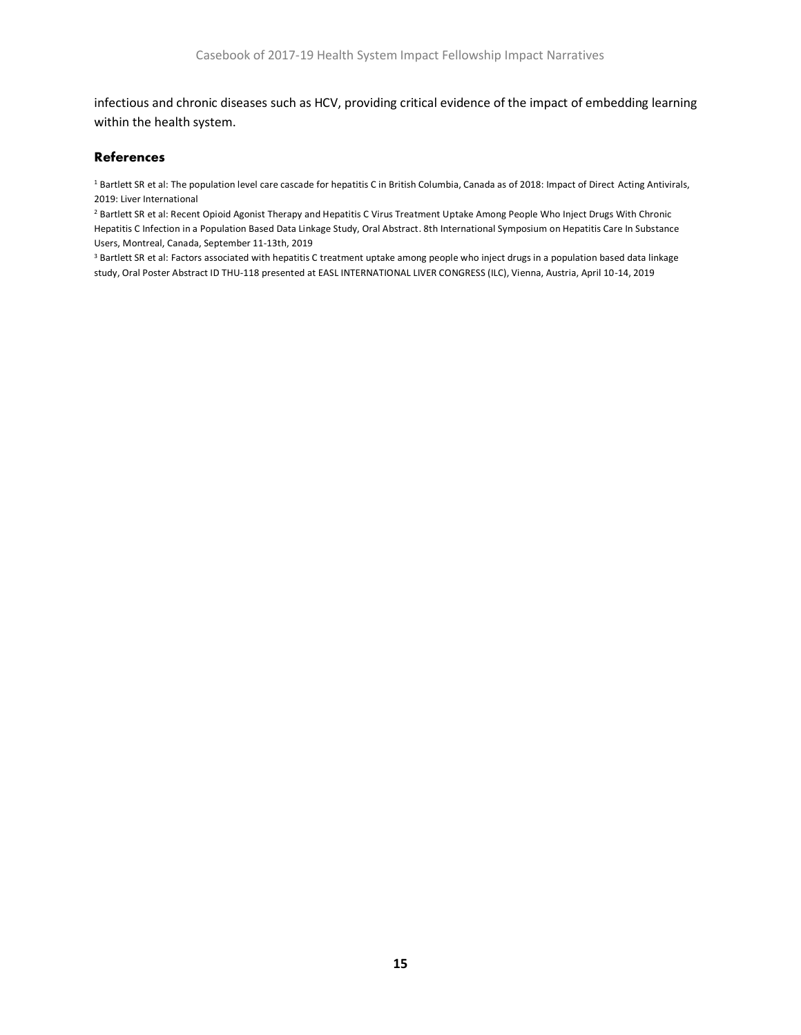infectious and chronic diseases such as HCV, providing critical evidence of the impact of embedding learning within the health system.

#### **References**

<sup>1</sup> Bartlett SR et al: The population level care cascade for hepatitis C in British Columbia, Canada as of 2018: Impact of Direct Acting Antivirals, 2019: Liver International

<sup>2</sup> Bartlett SR et al: Recent Opioid Agonist Therapy and Hepatitis C Virus Treatment Uptake Among People Who Inject Drugs With Chronic Hepatitis C Infection in a Population Based Data Linkage Study, Oral Abstract. 8th International Symposium on Hepatitis Care In Substance Users, Montreal, Canada, September 11-13th, 2019

<sup>3</sup> Bartlett SR et al: Factors associated with hepatitis C treatment uptake among people who inject drugs in a population based data linkage study, Oral Poster Abstract ID THU-118 presented at EASL INTERNATIONAL LIVER CONGRESS (ILC), Vienna, Austria, April 10-14, 2019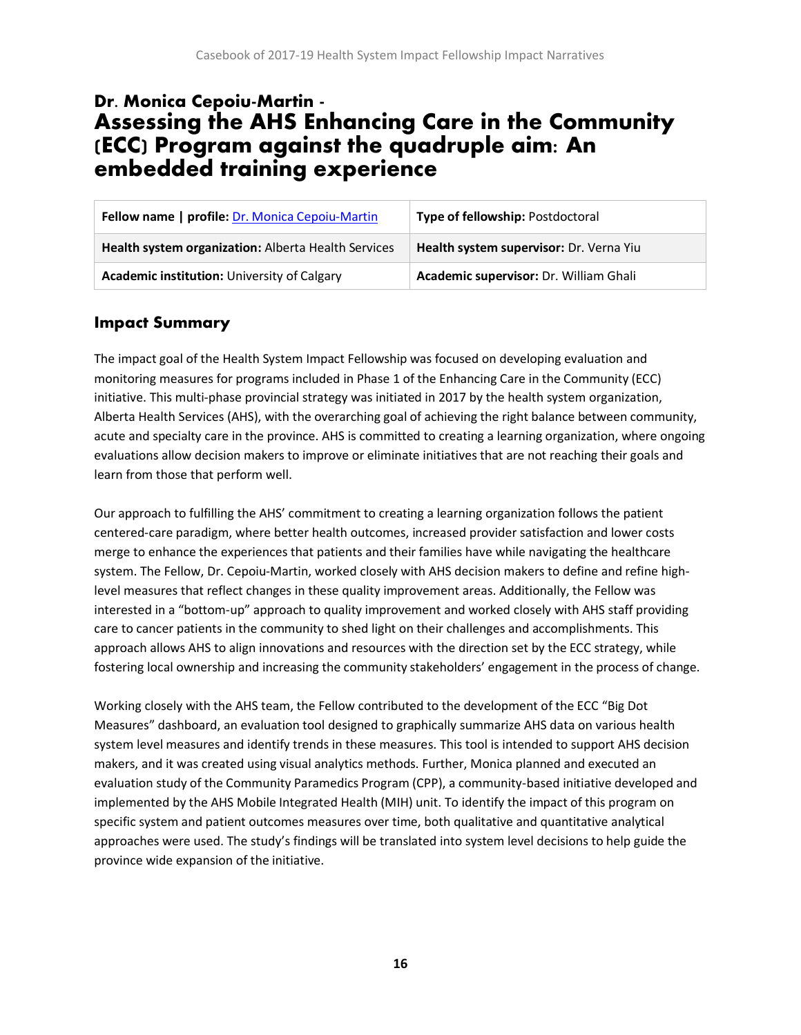# <span id="page-16-0"></span>Dr. Monica Cepoiu-Martin - Assessing the AHS Enhancing Care in the Community (ECC) Program against the quadruple aim: An embedded training experience

| Fellow name   profile: Dr. Monica Cepoiu-Martin     | Type of fellowship: Postdoctoral        |
|-----------------------------------------------------|-----------------------------------------|
| Health system organization: Alberta Health Services | Health system supervisor: Dr. Verna Yiu |
| <b>Academic institution: University of Calgary</b>  | Academic supervisor: Dr. William Ghali  |

### **Impact Summary**

The impact goal of the Health System Impact Fellowship was focused on developing evaluation and monitoring measures for programs included in Phase 1 of the Enhancing Care in the Community (ECC) initiative. This multi-phase provincial strategy was initiated in 2017 by the health system organization, Alberta Health Services (AHS), with the overarching goal of achieving the right balance between community, acute and specialty care in the province. AHS is committed to creating a learning organization, where ongoing evaluations allow decision makers to improve or eliminate initiatives that are not reaching their goals and learn from those that perform well.

Our approach to fulfilling the AHS' commitment to creating a learning organization follows the patient centered-care paradigm, where better health outcomes, increased provider satisfaction and lower costs merge to enhance the experiences that patients and their families have while navigating the healthcare system. The Fellow, Dr. Cepoiu-Martin, worked closely with AHS decision makers to define and refine highlevel measures that reflect changes in these quality improvement areas. Additionally, the Fellow was interested in a "bottom-up" approach to quality improvement and worked closely with AHS staff providing care to cancer patients in the community to shed light on their challenges and accomplishments. This approach allows AHS to align innovations and resources with the direction set by the ECC strategy, while fostering local ownership and increasing the community stakeholders' engagement in the process of change.

Working closely with the AHS team, the Fellow contributed to the development of the ECC "Big Dot Measures" dashboard, an evaluation tool designed to graphically summarize AHS data on various health system level measures and identify trends in these measures. This tool is intended to support AHS decision makers, and it was created using visual analytics methods. Further, Monica planned and executed an evaluation study of the Community Paramedics Program (CPP), a community-based initiative developed and implemented by the AHS Mobile Integrated Health (MIH) unit. To identify the impact of this program on specific system and patient outcomes measures over time, both qualitative and quantitative analytical approaches were used. The study's findings will be translated into system level decisions to help guide the province wide expansion of the initiative.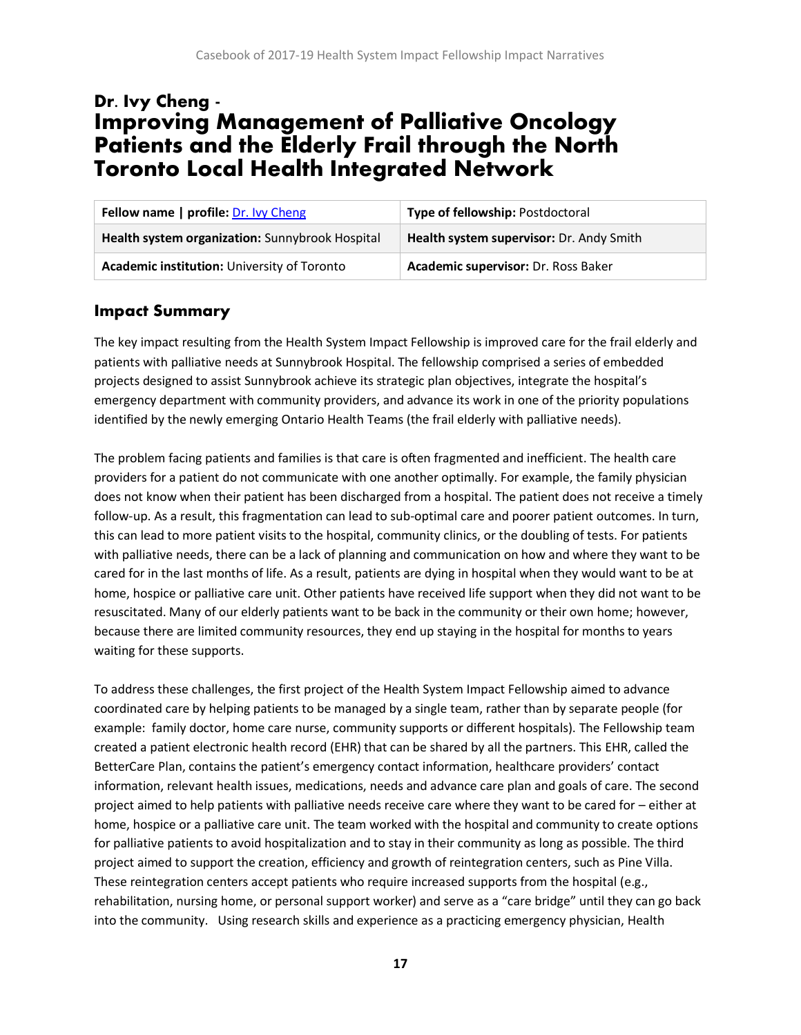# <span id="page-17-0"></span>Dr. Ivy Cheng - Improving Management of Palliative Oncology Patients and the Elderly Frail through the North Toronto Local Health Integrated Network

| Fellow name   profile: Dr. Ivy Cheng            | <b>Type of fellowship: Postdoctoral</b>  |
|-------------------------------------------------|------------------------------------------|
| Health system organization: Sunnybrook Hospital | Health system supervisor: Dr. Andy Smith |
| Academic institution: University of Toronto     | Academic supervisor: Dr. Ross Baker      |

#### **Impact Summary**

The key impact resulting from the Health System Impact Fellowship is improved care for the frail elderly and patients with palliative needs at Sunnybrook Hospital. The fellowship comprised a series of embedded projects designed to assist Sunnybrook achieve its strategic plan objectives, integrate the hospital's emergency department with community providers, and advance its work in one of the priority populations identified by the newly emerging Ontario Health Teams (the frail elderly with palliative needs).

The problem facing patients and families is that care is often fragmented and inefficient. The health care providers for a patient do not communicate with one another optimally. For example, the family physician does not know when their patient has been discharged from a hospital. The patient does not receive a timely follow-up. As a result, this fragmentation can lead to sub-optimal care and poorer patient outcomes. In turn, this can lead to more patient visits to the hospital, community clinics, or the doubling of tests. For patients with palliative needs, there can be a lack of planning and communication on how and where they want to be cared for in the last months of life. As a result, patients are dying in hospital when they would want to be at home, hospice or palliative care unit. Other patients have received life support when they did not want to be resuscitated. Many of our elderly patients want to be back in the community or their own home; however, because there are limited community resources, they end up staying in the hospital for months to years waiting for these supports.

To address these challenges, the first project of the Health System Impact Fellowship aimed to advance coordinated care by helping patients to be managed by a single team, rather than by separate people (for example: family doctor, home care nurse, community supports or different hospitals). The Fellowship team created a patient electronic health record (EHR) that can be shared by all the partners. This EHR, called the BetterCare Plan, contains the patient's emergency contact information, healthcare providers' contact information, relevant health issues, medications, needs and advance care plan and goals of care. The second project aimed to help patients with palliative needs receive care where they want to be cared for – either at home, hospice or a palliative care unit. The team worked with the hospital and community to create options for palliative patients to avoid hospitalization and to stay in their community as long as possible. The third project aimed to support the creation, efficiency and growth of reintegration centers, such as Pine Villa. These reintegration centers accept patients who require increased supports from the hospital (e.g., rehabilitation, nursing home, or personal support worker) and serve as a "care bridge" until they can go back into the community. Using research skills and experience as a practicing emergency physician, Health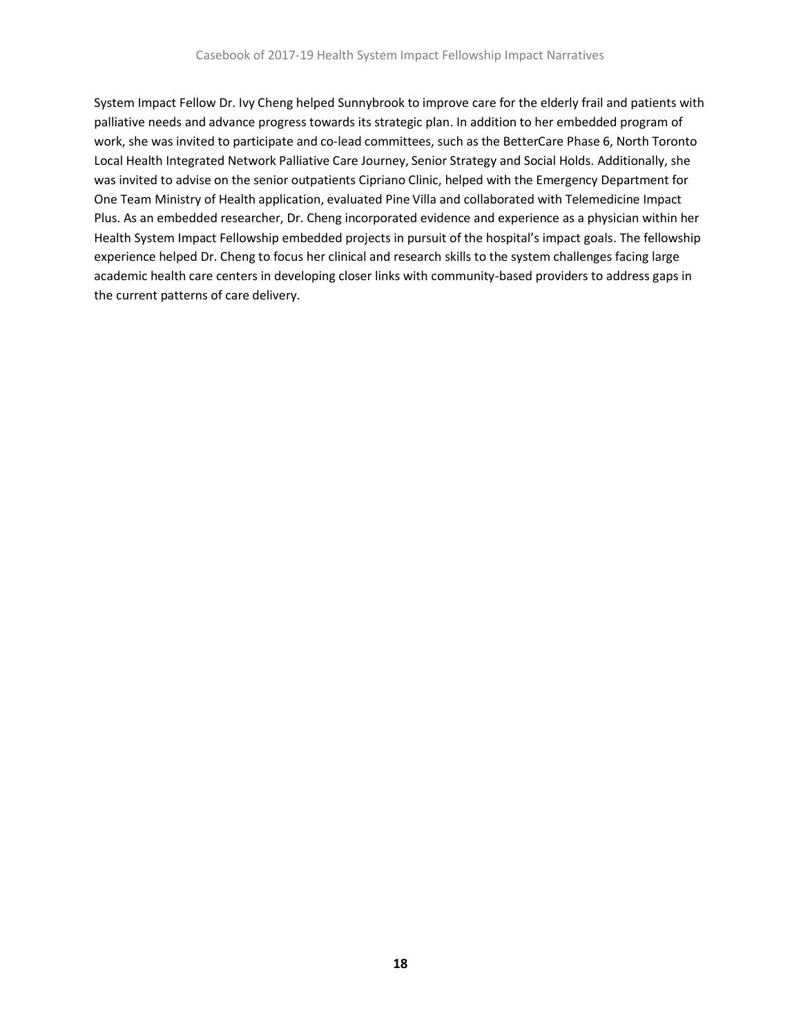System Impact Fellow Dr. Ivy Cheng helped Sunnybrook to improve care for the elderly frail and patients with palliative needs and advance progress towards its strategic plan. In addition to her embedded program of work, she was invited to participate and co-lead committees, such as the BetterCare Phase 6, North Toronto Local Health Integrated Network Palliative Care Journey, Senior Strategy and Social Holds. Additionally, she was invited to advise on the senior outpatients Cipriano Clinic, helped with the Emergency Department for One Team Ministry of Health application, evaluated Pine Villa and collaborated with Telemedicine Impact Plus. As an embedded researcher, Dr. Cheng incorporated evidence and experience as a physician within her Health System Impact Fellowship embedded projects in pursuit of the hospital's impact goals. The fellowship experience helped Dr. Cheng to focus her clinical and research skills to the system challenges facing large academic health care centers in developing closer links with community-based providers to address gaps in the current patterns of care delivery.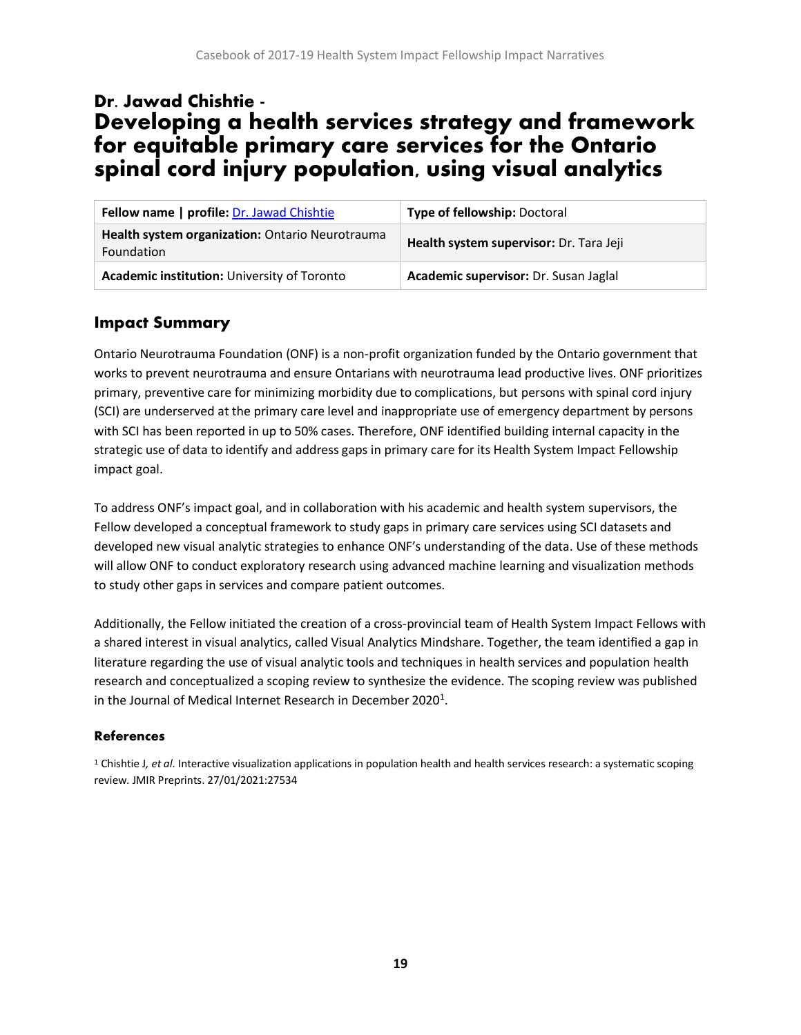# <span id="page-19-0"></span>Dr. Jawad Chishtie - Developing a health services strategy and framework for equitable primary care services for the Ontario spinal cord injury population, using visual analytics

| Fellow name   profile: Dr. Jawad Chishtie                     | Type of fellowship: Doctoral            |
|---------------------------------------------------------------|-----------------------------------------|
| Health system organization: Ontario Neurotrauma<br>Foundation | Health system supervisor: Dr. Tara Jeji |
| Academic institution: University of Toronto                   | Academic supervisor: Dr. Susan Jaglal   |

### **Impact Summary**

Ontario Neurotrauma Foundation (ONF) is a non-profit organization funded by the Ontario government that works to prevent neurotrauma and ensure Ontarians with neurotrauma lead productive lives. ONF prioritizes primary, preventive care for minimizing morbidity due to complications, but persons with spinal cord injury (SCI) are underserved at the primary care level and inappropriate use of emergency department by persons with SCI has been reported in up to 50% cases. Therefore, ONF identified building internal capacity in the strategic use of data to identify and address gaps in primary care for its Health System Impact Fellowship impact goal.

To address ONF's impact goal, and in collaboration with his academic and health system supervisors, the Fellow developed a conceptual framework to study gaps in primary care services using SCI datasets and developed new visual analytic strategies to enhance ONF's understanding of the data. Use of these methods will allow ONF to conduct exploratory research using advanced machine learning and visualization methods to study other gaps in services and compare patient outcomes.

Additionally, the Fellow initiated the creation of a cross-provincial team of Health System Impact Fellows with a shared interest in visual analytics, called Visual Analytics Mindshare. Together, the team identified a gap in literature regarding the use of visual analytic tools and techniques in health services and population health research and conceptualized a scoping review to synthesize the evidence. The scoping review was published in the Journal of Medical Internet Research in December 2020<sup>1</sup>.

#### **References**

<sup>1</sup> Chishtie J*, et al.* Interactive visualization applications in population health and health services research: a systematic scoping review. JMIR Preprints. 27/01/2021:27534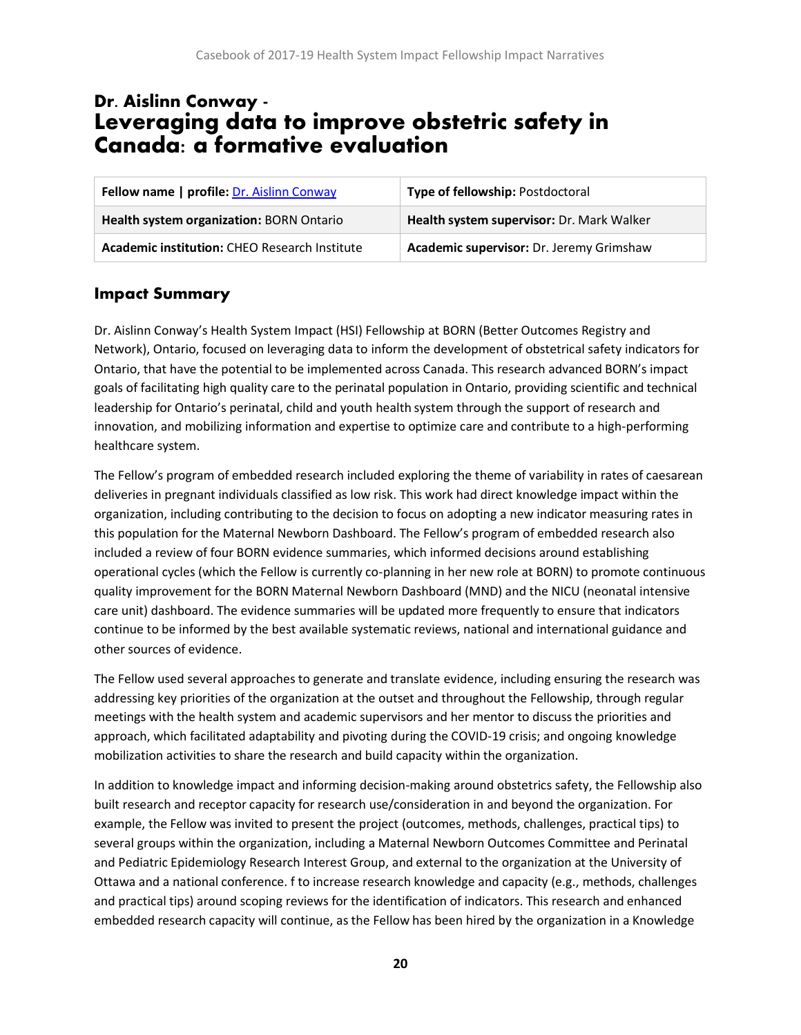# <span id="page-20-0"></span>Dr. Aislinn Conway - Leveraging data to improve obstetric safety in Canada: a formative evaluation

| Fellow name   profile: Dr. Aislinn Conway     | <b>Type of fellowship: Postdoctoral</b>   |
|-----------------------------------------------|-------------------------------------------|
| Health system organization: BORN Ontario      | Health system supervisor: Dr. Mark Walker |
| Academic institution: CHEO Research Institute | Academic supervisor: Dr. Jeremy Grimshaw  |

#### **Impact Summary**

Dr. Aislinn Conway's Health System Impact (HSI) Fellowship at BORN (Better Outcomes Registry and Network), Ontario, focused on leveraging data to inform the development of obstetrical safety indicators for Ontario, that have the potential to be implemented across Canada. This research advanced BORN's impact goals of facilitating high quality care to the perinatal population in Ontario, providing scientific and technical leadership for Ontario's perinatal, child and youth health system through the support of research and innovation, and mobilizing information and expertise to optimize care and contribute to a high-performing healthcare system.

The Fellow's program of embedded research included exploring the theme of variability in rates of caesarean deliveries in pregnant individuals classified as low risk. This work had direct knowledge impact within the organization, including contributing to the decision to focus on adopting a new indicator measuring rates in this population for the Maternal Newborn Dashboard. The Fellow's program of embedded research also included a review of four BORN evidence summaries, which informed decisions around establishing operational cycles (which the Fellow is currently co-planning in her new role at BORN) to promote continuous quality improvement for the BORN Maternal Newborn Dashboard (MND) and the NICU (neonatal intensive care unit) dashboard. The evidence summaries will be updated more frequently to ensure that indicators continue to be informed by the best available systematic reviews, national and international guidance and other sources of evidence.

The Fellow used several approaches to generate and translate evidence, including ensuring the research was addressing key priorities of the organization at the outset and throughout the Fellowship, through regular meetings with the health system and academic supervisors and her mentor to discuss the priorities and approach, which facilitated adaptability and pivoting during the COVID-19 crisis; and ongoing knowledge mobilization activities to share the research and build capacity within the organization.

In addition to knowledge impact and informing decision-making around obstetrics safety, the Fellowship also built research and receptor capacity for research use/consideration in and beyond the organization. For example, the Fellow was invited to present the project (outcomes, methods, challenges, practical tips) to several groups within the organization, including a Maternal Newborn Outcomes Committee and Perinatal and Pediatric Epidemiology Research Interest Group, and external to the organization at the University of Ottawa and a national conference. f to increase research knowledge and capacity (e.g., methods, challenges and practical tips) around scoping reviews for the identification of indicators. This research and enhanced embedded research capacity will continue, as the Fellow has been hired by the organization in a Knowledge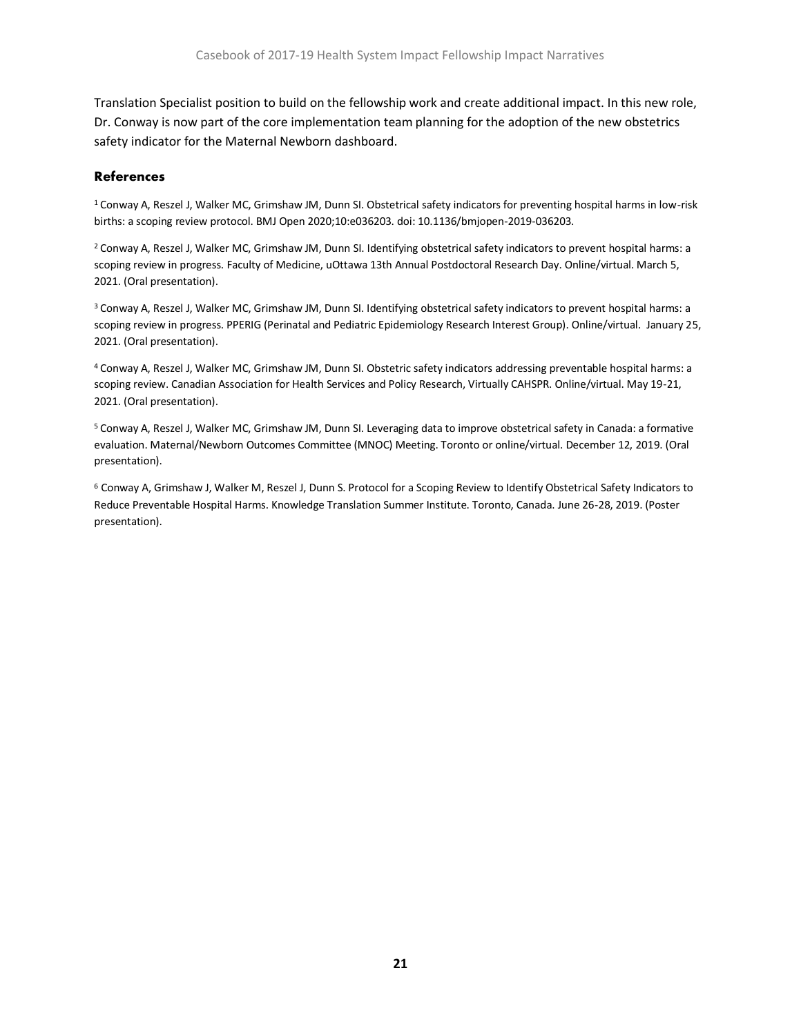Translation Specialist position to build on the fellowship work and create additional impact. In this new role, Dr. Conway is now part of the core implementation team planning for the adoption of the new obstetrics safety indicator for the Maternal Newborn dashboard.

#### **References**

<sup>1</sup> Conway A, Reszel J, Walker MC, Grimshaw JM, Dunn SI. Obstetrical safety indicators for preventing hospital harms in low-risk births: a scoping review protocol. BMJ Open 2020;10:e036203. doi: 10.1136/bmjopen-2019-036203.

<sup>2</sup> Conway A, Reszel J, Walker MC, Grimshaw JM, Dunn SI. Identifying obstetrical safety indicators to prevent hospital harms: a scoping review in progress. Faculty of Medicine, uOttawa 13th Annual Postdoctoral Research Day. Online/virtual. March 5, 2021. (Oral presentation).

<sup>3</sup> Conway A, Reszel J, Walker MC, Grimshaw JM, Dunn SI. Identifying obstetrical safety indicators to prevent hospital harms: a scoping review in progress. PPERIG (Perinatal and Pediatric Epidemiology Research Interest Group). Online/virtual. January 25, 2021. (Oral presentation).

<sup>4</sup>Conway A, Reszel J, Walker MC, Grimshaw JM, Dunn SI. Obstetric safety indicators addressing preventable hospital harms: a scoping review. Canadian Association for Health Services and Policy Research, Virtually CAHSPR. Online/virtual. May 19-21, 2021. (Oral presentation).

<sup>5</sup> Conway A, Reszel J, Walker MC, Grimshaw JM, Dunn SI. Leveraging data to improve obstetrical safety in Canada: a formative evaluation. Maternal/Newborn Outcomes Committee (MNOC) Meeting. Toronto or online/virtual. December 12, 2019. (Oral presentation).

<sup>6</sup> Conway A, Grimshaw J, Walker M, Reszel J, Dunn S. Protocol for a Scoping Review to Identify Obstetrical Safety Indicators to Reduce Preventable Hospital Harms. Knowledge Translation Summer Institute. Toronto, Canada. June 26-28, 2019. (Poster presentation).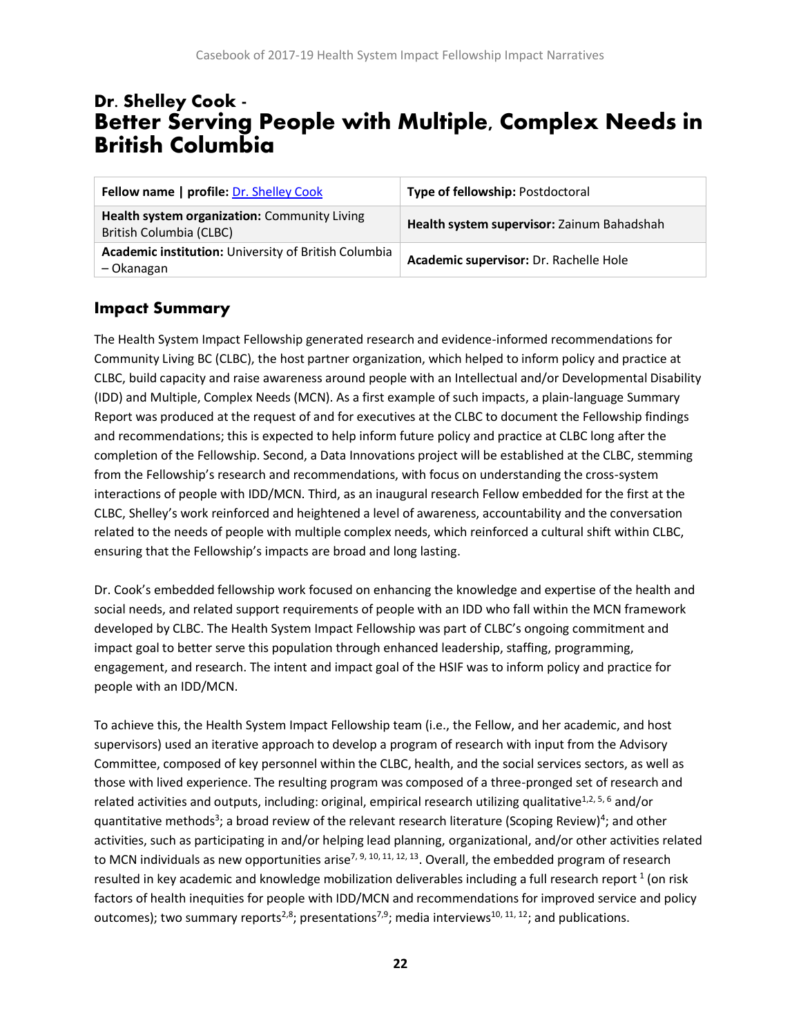# <span id="page-22-0"></span>Dr. Shelley Cook - Better Serving People with Multiple, Complex Needs in British Columbia

| Fellow name   profile: Dr. Shelley Cook                                 | Type of fellowship: Postdoctoral           |
|-------------------------------------------------------------------------|--------------------------------------------|
| Health system organization: Community Living<br>British Columbia (CLBC) | Health system supervisor: Zainum Bahadshah |
| Academic institution: University of British Columbia<br>- Okanagan      | Academic supervisor: Dr. Rachelle Hole     |

### **Impact Summary**

The Health System Impact Fellowship generated research and evidence-informed recommendations for Community Living BC (CLBC), the host partner organization, which helped to inform policy and practice at CLBC, build capacity and raise awareness around people with an Intellectual and/or Developmental Disability (IDD) and Multiple, Complex Needs (MCN). As a first example of such impacts, a plain-language Summary Report was produced at the request of and for executives at the CLBC to document the Fellowship findings and recommendations; this is expected to help inform future policy and practice at CLBC long after the completion of the Fellowship. Second, a Data Innovations project will be established at the CLBC, stemming from the Fellowship's research and recommendations, with focus on understanding the cross-system interactions of people with IDD/MCN. Third, as an inaugural research Fellow embedded for the first at the CLBC, Shelley's work reinforced and heightened a level of awareness, accountability and the conversation related to the needs of people with multiple complex needs, which reinforced a cultural shift within CLBC, ensuring that the Fellowship's impacts are broad and long lasting.

Dr. Cook's embedded fellowship work focused on enhancing the knowledge and expertise of the health and social needs, and related support requirements of people with an IDD who fall within the MCN framework developed by CLBC. The Health System Impact Fellowship was part of CLBC's ongoing commitment and impact goal to better serve this population through enhanced leadership, staffing, programming, engagement, and research. The intent and impact goal of the HSIF was to inform policy and practice for people with an IDD/MCN.

To achieve this, the Health System Impact Fellowship team (i.e., the Fellow, and her academic, and host supervisors) used an iterative approach to develop a program of research with input from the Advisory Committee, composed of key personnel within the CLBC, health, and the social services sectors, as well as those with lived experience. The resulting program was composed of a three-pronged set of research and related activities and outputs, including: original, empirical research utilizing qualitative<sup>1,2, 5, 6</sup> and/or quantitative methods<sup>3</sup>; a broad review of the relevant research literature (Scoping Review)<sup>4</sup>; and other activities, such as participating in and/or helping lead planning, organizational, and/or other activities related to MCN individuals as new opportunities arise<sup>7, 9, 10, 11, 12, 13</sup>. Overall, the embedded program of research resulted in key academic and knowledge mobilization deliverables including a full research report  $^1$  (on risk factors of health inequities for people with IDD/MCN and recommendations for improved service and policy outcomes); two summary reports<sup>2,8</sup>; presentations<sup>7,9</sup>; media interviews<sup>10, 11, 12</sup>; and publications.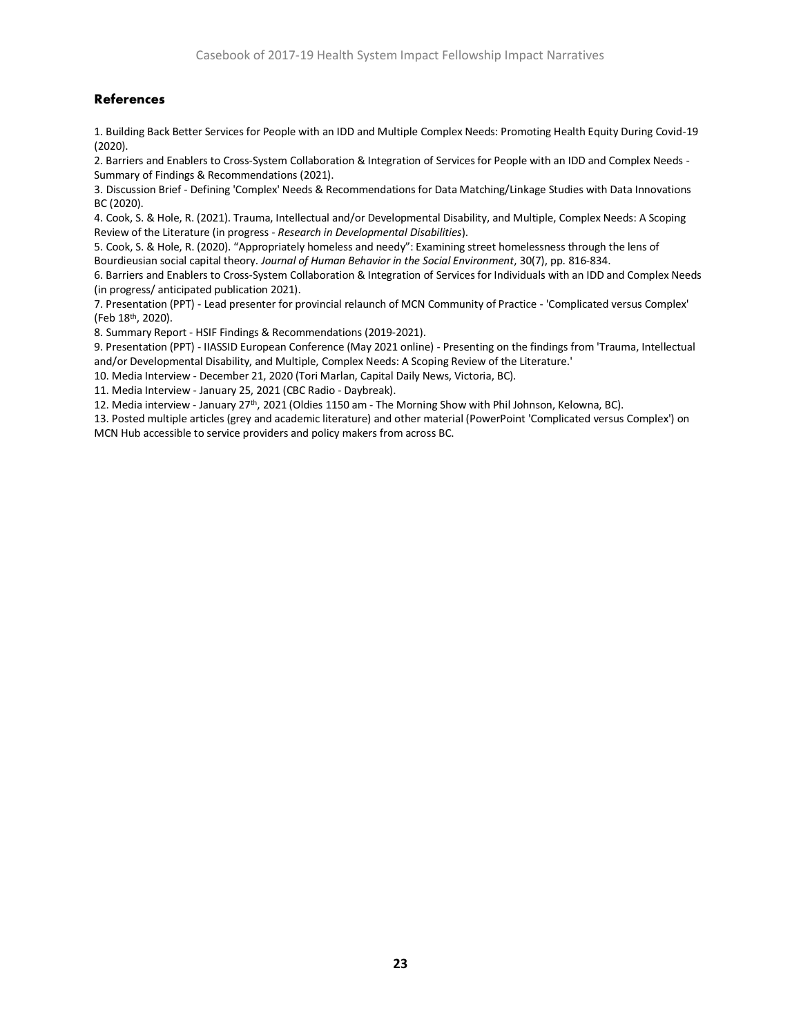#### **References**

1. Building Back Better Services for People with an IDD and Multiple Complex Needs: Promoting Health Equity During Covid-19 (2020).

2. Barriers and Enablers to Cross-System Collaboration & Integration of Services for People with an IDD and Complex Needs - Summary of Findings & Recommendations (2021).

3. Discussion Brief - Defining 'Complex' Needs & Recommendations for Data Matching/Linkage Studies with Data Innovations BC (2020).

4. Cook, S. & Hole, R. (2021). Trauma, Intellectual and/or Developmental Disability, and Multiple, Complex Needs: A Scoping Review of the Literature (in progress - *Research in Developmental Disabilities*).

5. Cook, S. & Hole, R. (2020). "Appropriately homeless and needy": Examining street homelessness through the lens of Bourdieusian social capital theory. *Journal of Human Behavior in the Social Environment*, 30(7), pp. 816-834.

6. Barriers and Enablers to Cross-System Collaboration & Integration of Services for Individuals with an IDD and Complex Needs (in progress/ anticipated publication 2021).

7. Presentation (PPT) - Lead presenter for provincial relaunch of MCN Community of Practice - 'Complicated versus Complex' (Feb 18th, 2020).

8. Summary Report - HSIF Findings & Recommendations (2019-2021).

9. Presentation (PPT) - IIASSID European Conference (May 2021 online) - Presenting on the findings from 'Trauma, Intellectual and/or Developmental Disability, and Multiple, Complex Needs: A Scoping Review of the Literature.'

10. Media Interview - December 21, 2020 (Tori Marlan, Capital Daily News, Victoria, BC).

11. Media Interview - January 25, 2021 (CBC Radio - Daybreak).

12. Media interview - January 27th, 2021 (Oldies 1150 am - The Morning Show with Phil Johnson, Kelowna, BC).

13. Posted multiple articles (grey and academic literature) and other material (PowerPoint 'Complicated versus Complex') on MCN Hub accessible to service providers and policy makers from across BC.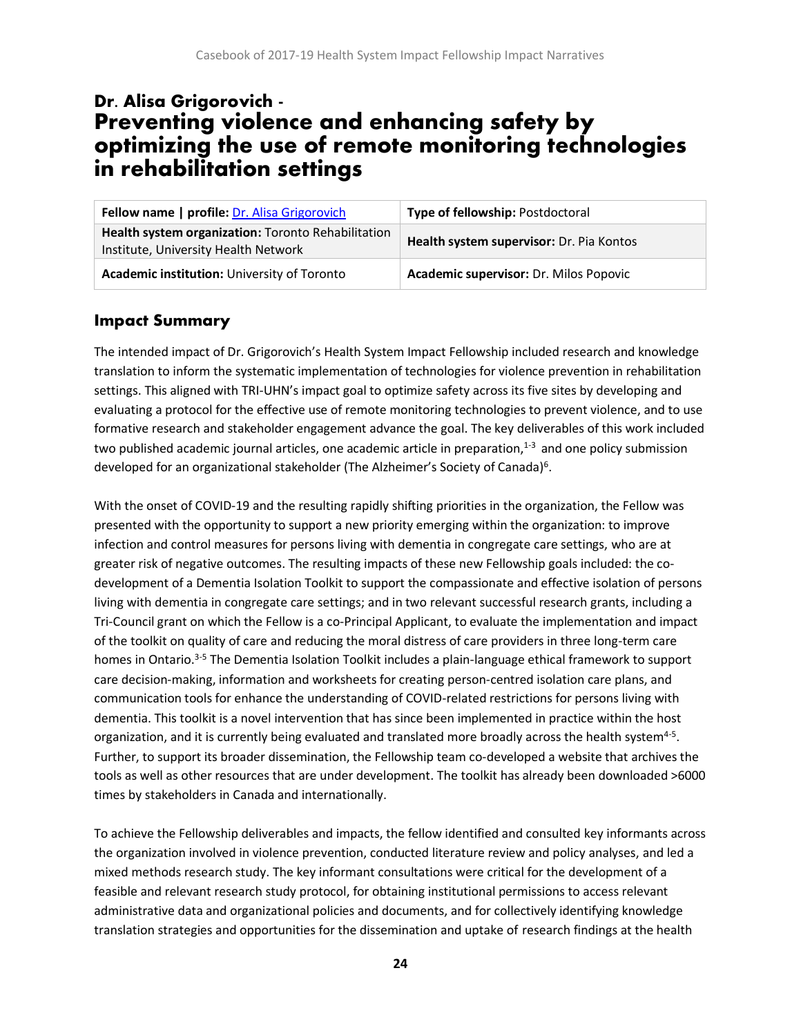# <span id="page-24-0"></span>Dr. Alisa Grigorovich - Preventing violence and enhancing safety by optimizing the use of remote monitoring technologies in rehabilitation settings

| Fellow name   profile: Dr. Alisa Grigorovich                                               | Type of fellowship: Postdoctoral         |
|--------------------------------------------------------------------------------------------|------------------------------------------|
| Health system organization: Toronto Rehabilitation<br>Institute, University Health Network | Health system supervisor: Dr. Pia Kontos |
| Academic institution: University of Toronto                                                | Academic supervisor: Dr. Milos Popovic   |

### **Impact Summary**

The intended impact of Dr. Grigorovich's Health System Impact Fellowship included research and knowledge translation to inform the systematic implementation of technologies for violence prevention in rehabilitation settings. This aligned with TRI-UHN's impact goal to optimize safety across its five sites by developing and evaluating a protocol for the effective use of remote monitoring technologies to prevent violence, and to use formative research and stakeholder engagement advance the goal. The key deliverables of this work included two published academic journal articles, one academic article in preparation, $1-3$  and one policy submission developed for an organizational stakeholder (The Alzheimer's Society of Canada)<sup>6</sup>.

With the onset of COVID-19 and the resulting rapidly shifting priorities in the organization, the Fellow was presented with the opportunity to support a new priority emerging within the organization: to improve infection and control measures for persons living with dementia in congregate care settings, who are at greater risk of negative outcomes. The resulting impacts of these new Fellowship goals included: the codevelopment of a Dementia Isolation Toolkit to support the compassionate and effective isolation of persons living with dementia in congregate care settings; and in two relevant successful research grants, including a Tri-Council grant on which the Fellow is a co-Principal Applicant, to evaluate the implementation and impact of the toolkit on quality of care and reducing the moral distress of care providers in three long-term care homes in Ontario.<sup>3-5</sup> The Dementia Isolation Toolkit includes a plain-language ethical framework to support care decision-making, information and worksheets for creating person-centred isolation care plans, and communication tools for enhance the understanding of COVID-related restrictions for persons living with dementia. This toolkit is a novel intervention that has since been implemented in practice within the host organization, and it is currently being evaluated and translated more broadly across the health system<sup>4-5</sup>. Further, to support its broader dissemination, the Fellowship team co-developed a website that archives the tools as well as other resources that are under development. The toolkit has already been downloaded >6000 times by stakeholders in Canada and internationally.

To achieve the Fellowship deliverables and impacts, the fellow identified and consulted key informants across the organization involved in violence prevention, conducted literature review and policy analyses, and led a mixed methods research study. The key informant consultations were critical for the development of a feasible and relevant research study protocol, for obtaining institutional permissions to access relevant administrative data and organizational policies and documents, and for collectively identifying knowledge translation strategies and opportunities for the dissemination and uptake of research findings at the health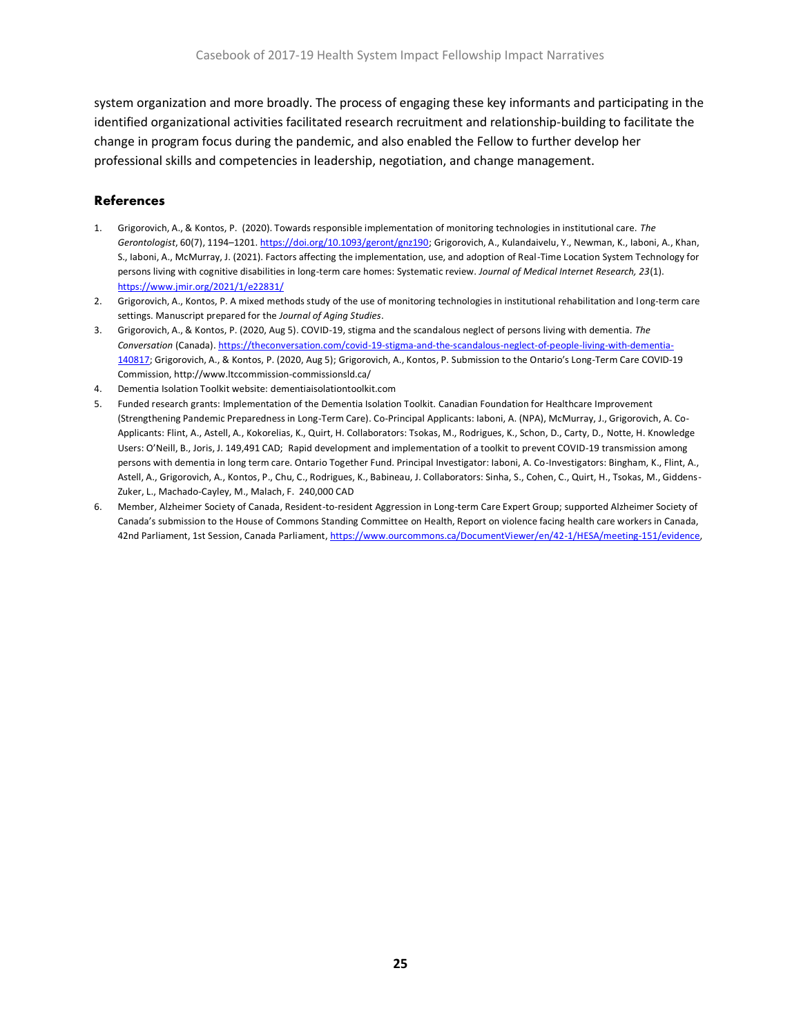system organization and more broadly. The process of engaging these key informants and participating in the identified organizational activities facilitated research recruitment and relationship-building to facilitate the change in program focus during the pandemic, and also enabled the Fellow to further develop her professional skills and competencies in leadership, negotiation, and change management.

#### **References**

- 1. Grigorovich, A., & Kontos, P. (2020). Towards responsible implementation of monitoring technologies in institutional care. *The Gerontologist*, 60(7), 1194–1201[. https://doi.org/10.1093/geront/gnz190;](https://doi.org/10.1093/geront/gnz190) Grigorovich, A., Kulandaivelu, Y., Newman, K., Iaboni, A., Khan, S., Iaboni, A., McMurray, J. (2021). Factors affecting the implementation, use, and adoption of Real-Time Location System Technology for persons living with cognitive disabilities in long-term care homes: Systematic review. *Journal of Medical Internet Research, 23*(1). <https://www.jmir.org/2021/1/e22831/>
- 2. Grigorovich, A., Kontos, P. A mixed methods study of the use of monitoring technologies in institutional rehabilitation and long-term care settings. Manuscript prepared for the *Journal of Aging Studies*.
- 3. Grigorovich, A., & Kontos, P. (2020, Aug 5). COVID-19, stigma and the scandalous neglect of persons living with dementia. *The Conversation* (Canada)[. https://theconversation.com/covid-19-stigma-and-the-scandalous-neglect-of-people-living-with-dementia-](https://theconversation.com/covid-19-stigma-and-the-scandalous-neglect-of-people-living-with-dementia-140817)[140817;](https://theconversation.com/covid-19-stigma-and-the-scandalous-neglect-of-people-living-with-dementia-140817) Grigorovich, A., & Kontos, P. (2020, Aug 5); Grigorovich, A., Kontos, P. Submission to the Ontario's Long-Term Care COVID-19 Commission, http://www.ltccommission-commissionsld.ca/
- 4. Dementia Isolation Toolkit website: dementiaisolationtoolkit.com
- 5. Funded research grants: Implementation of the Dementia Isolation Toolkit. Canadian Foundation for Healthcare Improvement (Strengthening Pandemic Preparedness in Long-Term Care). Co-Principal Applicants: Iaboni, A. (NPA), McMurray, J., Grigorovich, A. Co-Applicants: Flint, A., Astell, A., Kokorelias, K., Quirt, H. Collaborators: Tsokas, M., Rodrigues, K., Schon, D., Carty, D., Notte, H. Knowledge Users: O'Neill, B., Joris, J. 149,491 CAD; Rapid development and implementation of a toolkit to prevent COVID-19 transmission among persons with dementia in long term care. Ontario Together Fund. Principal Investigator: Iaboni, A. Co-Investigators: Bingham, K., Flint, A., Astell, A., Grigorovich, A., Kontos, P., Chu, C., Rodrigues, K., Babineau, J. Collaborators: Sinha, S., Cohen, C., Quirt, H., Tsokas, M., Giddens-Zuker, L., Machado-Cayley, M., Malach, F. 240,000 CAD
- 6. Member, Alzheimer Society of Canada, Resident-to-resident Aggression in Long-term Care Expert Group; supported Alzheimer Society of Canada's submission to the House of Commons Standing Committee on Health, Report on violence facing health care workers in Canada, 42nd Parliament, 1st Session, Canada Parliament, https://www.ourcommons.ca/DocumentViewer/en/42-1/HESA/meeting-151/evidence,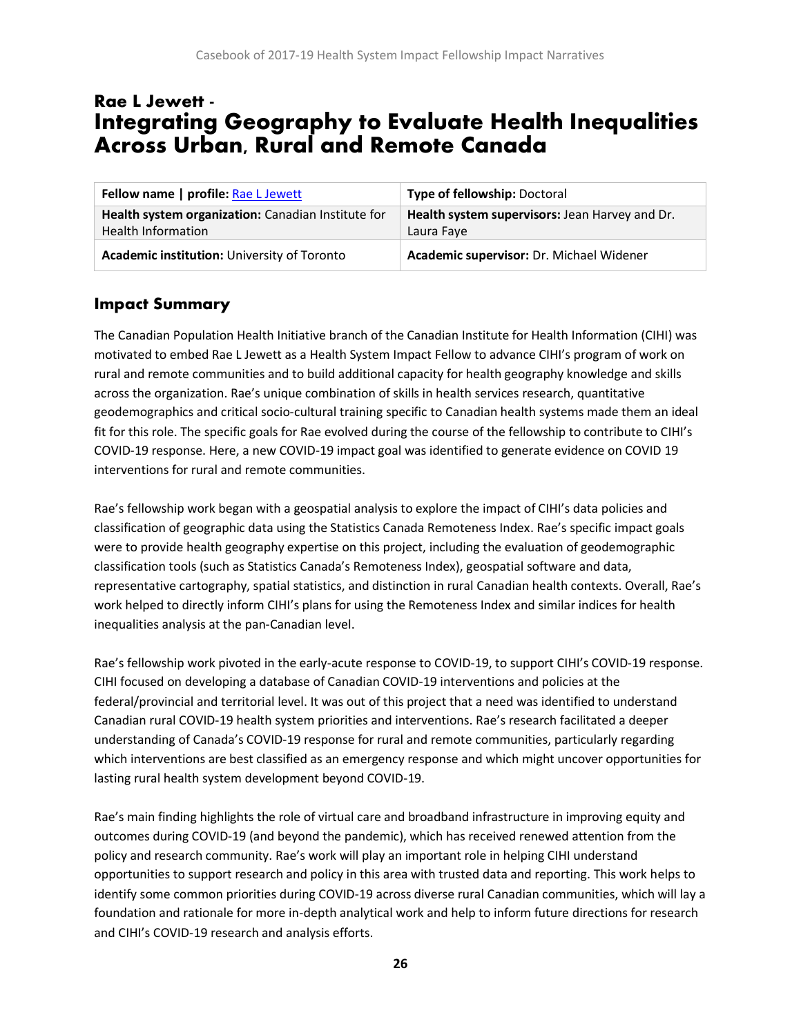# <span id="page-26-0"></span>Rae L Jewett - Integrating Geography to Evaluate Health Inequalities Across Urban, Rural and Remote Canada

| Fellow name   profile: Rae L Jewett                                             | Type of fellowship: Doctoral                                 |
|---------------------------------------------------------------------------------|--------------------------------------------------------------|
| Health system organization: Canadian Institute for<br><b>Health Information</b> | Health system supervisors: Jean Harvey and Dr.<br>Laura Faye |
| Academic institution: University of Toronto                                     | Academic supervisor: Dr. Michael Widener                     |

### **Impact Summary**

The Canadian Population Health Initiative branch of the Canadian Institute for Health Information (CIHI) was motivated to embed Rae L Jewett as a Health System Impact Fellow to advance CIHI's program of work on rural and remote communities and to build additional capacity for health geography knowledge and skills across the organization. Rae's unique combination of skills in health services research, quantitative geodemographics and critical socio-cultural training specific to Canadian health systems made them an ideal fit for this role. The specific goals for Rae evolved during the course of the fellowship to contribute to CIHI's COVID-19 response. Here, a new COVID-19 impact goal was identified to generate evidence on COVID 19 interventions for rural and remote communities.

Rae's fellowship work began with a geospatial analysis to explore the impact of CIHI's data policies and classification of geographic data using the Statistics Canada Remoteness Index. Rae's specific impact goals were to provide health geography expertise on this project, including the evaluation of geodemographic classification tools (such as Statistics Canada's Remoteness Index), geospatial software and data, representative cartography, spatial statistics, and distinction in rural Canadian health contexts. Overall, Rae's work helped to directly inform CIHI's plans for using the Remoteness Index and similar indices for health inequalities analysis at the pan-Canadian level.

Rae's fellowship work pivoted in the early-acute response to COVID-19, to support CIHI's COVID-19 response. CIHI focused on developing a database of Canadian COVID-19 interventions and policies at the federal/provincial and territorial level. It was out of this project that a need was identified to understand Canadian rural COVID-19 health system priorities and interventions. Rae's research facilitated a deeper understanding of Canada's COVID-19 response for rural and remote communities, particularly regarding which interventions are best classified as an emergency response and which might uncover opportunities for lasting rural health system development beyond COVID-19.

Rae's main finding highlights the role of virtual care and broadband infrastructure in improving equity and outcomes during COVID-19 (and beyond the pandemic), which has received renewed attention from the policy and research community. Rae's work will play an important role in helping CIHI understand opportunities to support research and policy in this area with trusted data and reporting. This work helps to identify some common priorities during COVID-19 across diverse rural Canadian communities, which will lay a foundation and rationale for more in-depth analytical work and help to inform future directions for research and CIHI's COVID-19 research and analysis efforts.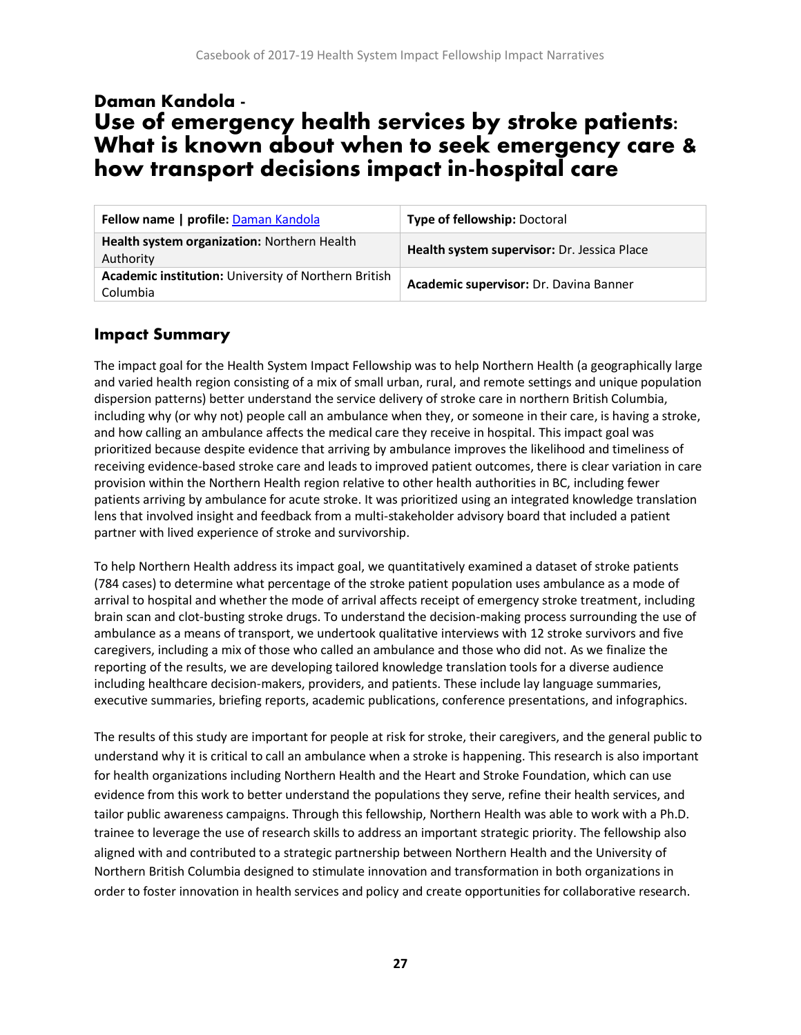# <span id="page-27-0"></span>Daman Kandola - Use of emergency health services by stroke patients: What is known about when to seek emergency care & how transport decisions impact in-hospital care

| Fellow name   profile: Daman Kandola                             | <b>Type of fellowship: Doctoral</b>         |
|------------------------------------------------------------------|---------------------------------------------|
| Health system organization: Northern Health<br>Authority         | Health system supervisor: Dr. Jessica Place |
| Academic institution: University of Northern British<br>Columbia | Academic supervisor: Dr. Davina Banner      |

#### **Impact Summary**

The impact goal for the Health System Impact Fellowship was to help Northern Health (a geographically large and varied health region consisting of a mix of small urban, rural, and remote settings and unique population dispersion patterns) better understand the service delivery of stroke care in northern British Columbia, including why (or why not) people call an ambulance when they, or someone in their care, is having a stroke, and how calling an ambulance affects the medical care they receive in hospital. This impact goal was prioritized because despite evidence that arriving by ambulance improves the likelihood and timeliness of receiving evidence-based stroke care and leads to improved patient outcomes, there is clear variation in care provision within the Northern Health region relative to other health authorities in BC, including fewer patients arriving by ambulance for acute stroke. It was prioritized using an integrated knowledge translation lens that involved insight and feedback from a multi-stakeholder advisory board that included a patient partner with lived experience of stroke and survivorship.

To help Northern Health address its impact goal, we quantitatively examined a dataset of stroke patients (784 cases) to determine what percentage of the stroke patient population uses ambulance as a mode of arrival to hospital and whether the mode of arrival affects receipt of emergency stroke treatment, including brain scan and clot-busting stroke drugs. To understand the decision-making process surrounding the use of ambulance as a means of transport, we undertook qualitative interviews with 12 stroke survivors and five caregivers, including a mix of those who called an ambulance and those who did not. As we finalize the reporting of the results, we are developing tailored knowledge translation tools for a diverse audience including healthcare decision-makers, providers, and patients. These include lay language summaries, executive summaries, briefing reports, academic publications, conference presentations, and infographics.

The results of this study are important for people at risk for stroke, their caregivers, and the general public to understand why it is critical to call an ambulance when a stroke is happening. This research is also important for health organizations including Northern Health and the Heart and Stroke Foundation, which can use evidence from this work to better understand the populations they serve, refine their health services, and tailor public awareness campaigns. Through this fellowship, Northern Health was able to work with a Ph.D. trainee to leverage the use of research skills to address an important strategic priority. The fellowship also aligned with and contributed to a strategic partnership between Northern Health and the University of Northern British Columbia designed to stimulate innovation and transformation in both organizations in order to foster innovation in health services and policy and create opportunities for collaborative research.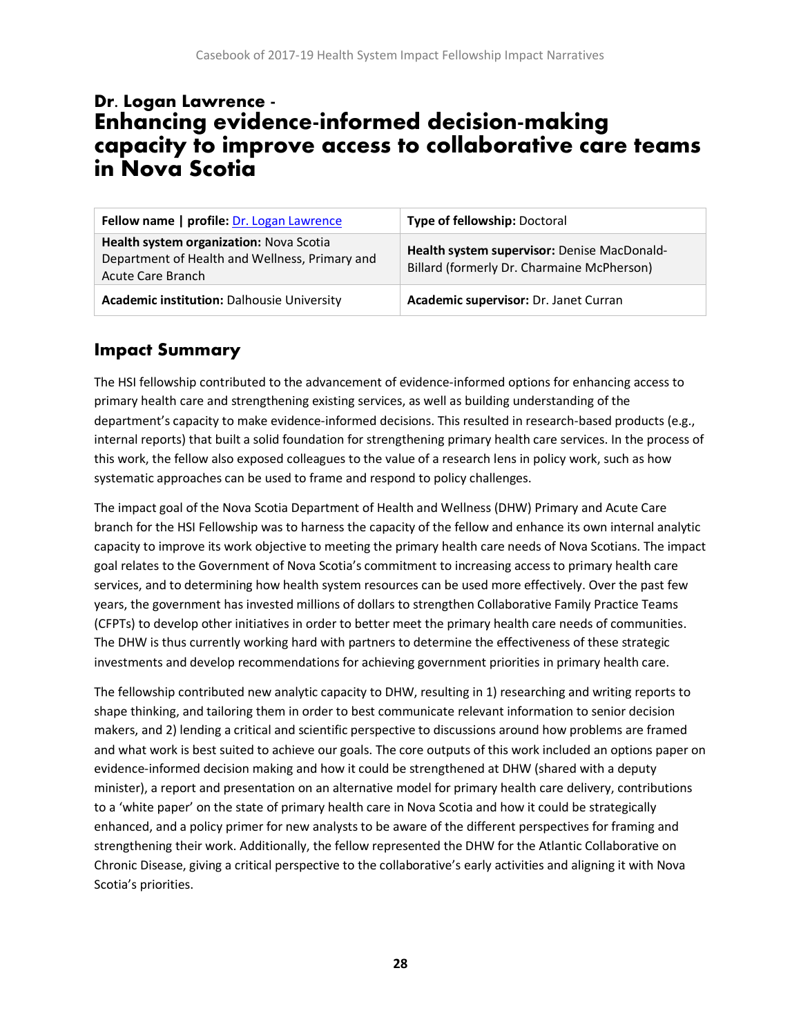# <span id="page-28-0"></span>Dr. Logan Lawrence - Enhancing evidence-informed decision-making capacity to improve access to collaborative care teams in Nova Scotia

| Fellow name   profile: Dr. Logan Lawrence                                                                      | Type of fellowship: Doctoral                                                              |
|----------------------------------------------------------------------------------------------------------------|-------------------------------------------------------------------------------------------|
| Health system organization: Nova Scotia<br>Department of Health and Wellness, Primary and<br>Acute Care Branch | Health system supervisor: Denise MacDonald-<br>Billard (formerly Dr. Charmaine McPherson) |
| <b>Academic institution: Dalhousie University</b>                                                              | Academic supervisor: Dr. Janet Curran                                                     |

## **Impact Summary**

The HSI fellowship contributed to the advancement of evidence-informed options for enhancing access to primary health care and strengthening existing services, as well as building understanding of the department's capacity to make evidence-informed decisions. This resulted in research-based products (e.g., internal reports) that built a solid foundation for strengthening primary health care services. In the process of this work, the fellow also exposed colleagues to the value of a research lens in policy work, such as how systematic approaches can be used to frame and respond to policy challenges.

The impact goal of the Nova Scotia Department of Health and Wellness (DHW) Primary and Acute Care branch for the HSI Fellowship was to harness the capacity of the fellow and enhance its own internal analytic capacity to improve its work objective to meeting the primary health care needs of Nova Scotians. The impact goal relates to the Government of Nova Scotia's commitment to increasing access to primary health care services, and to determining how health system resources can be used more effectively. Over the past few years, the government has invested millions of dollars to strengthen Collaborative Family Practice Teams (CFPTs) to develop other initiatives in order to better meet the primary health care needs of communities. The DHW is thus currently working hard with partners to determine the effectiveness of these strategic investments and develop recommendations for achieving government priorities in primary health care.

The fellowship contributed new analytic capacity to DHW, resulting in 1) researching and writing reports to shape thinking, and tailoring them in order to best communicate relevant information to senior decision makers, and 2) lending a critical and scientific perspective to discussions around how problems are framed and what work is best suited to achieve our goals. The core outputs of this work included an options paper on evidence-informed decision making and how it could be strengthened at DHW (shared with a deputy minister), a report and presentation on an alternative model for primary health care delivery, contributions to a 'white paper' on the state of primary health care in Nova Scotia and how it could be strategically enhanced, and a policy primer for new analysts to be aware of the different perspectives for framing and strengthening their work. Additionally, the fellow represented the DHW for the Atlantic Collaborative on Chronic Disease, giving a critical perspective to the collaborative's early activities and aligning it with Nova Scotia's priorities.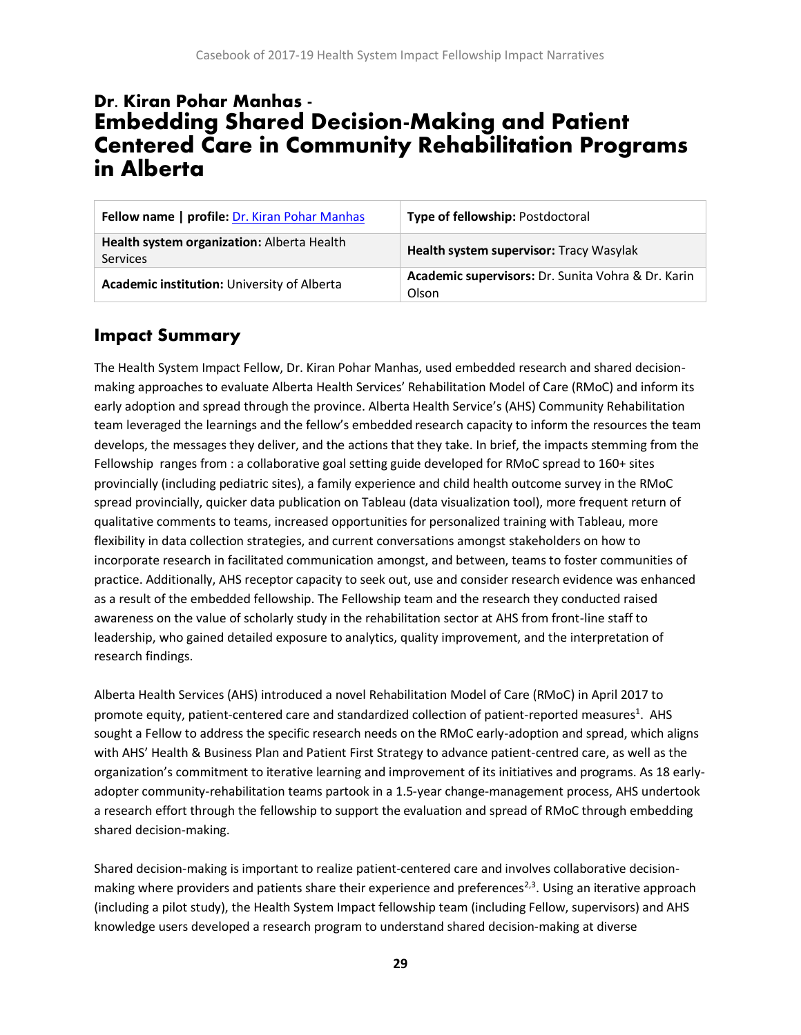# <span id="page-29-0"></span>Dr. Kiran Pohar Manhas - Embedding Shared Decision-Making and Patient Centered Care in Community Rehabilitation Programs in Alberta

| Fellow name   profile: Dr. Kiran Pohar Manhas                 | Type of fellowship: Postdoctoral                            |
|---------------------------------------------------------------|-------------------------------------------------------------|
| Health system organization: Alberta Health<br><b>Services</b> | Health system supervisor: Tracy Wasylak                     |
| Academic institution: University of Alberta                   | Academic supervisors: Dr. Sunita Vohra & Dr. Karin<br>Olson |

### **Impact Summary**

The Health System Impact Fellow, Dr. Kiran Pohar Manhas, used embedded research and shared decisionmaking approaches to evaluate Alberta Health Services' Rehabilitation Model of Care (RMoC) and inform its early adoption and spread through the province. Alberta Health Service's (AHS) Community Rehabilitation team leveraged the learnings and the fellow's embedded research capacity to inform the resources the team develops, the messages they deliver, and the actions that they take. In brief, the impacts stemming from the Fellowship ranges from : a collaborative goal setting guide developed for RMoC spread to 160+ sites provincially (including pediatric sites), a family experience and child health outcome survey in the RMoC spread provincially, quicker data publication on Tableau (data visualization tool), more frequent return of qualitative comments to teams, increased opportunities for personalized training with Tableau, more flexibility in data collection strategies, and current conversations amongst stakeholders on how to incorporate research in facilitated communication amongst, and between, teams to foster communities of practice. Additionally, AHS receptor capacity to seek out, use and consider research evidence was enhanced as a result of the embedded fellowship. The Fellowship team and the research they conducted raised awareness on the value of scholarly study in the rehabilitation sector at AHS from front-line staff to leadership, who gained detailed exposure to analytics, quality improvement, and the interpretation of research findings.

Alberta Health Services (AHS) introduced a novel Rehabilitation Model of Care (RMoC) in April 2017 to promote equity, patient-centered care and standardized collection of patient-reported measures<sup>1</sup>. AHS sought a Fellow to address the specific research needs on the RMoC early-adoption and spread, which aligns with AHS' Health & Business Plan and Patient First Strategy to advance patient-centred care, as well as the organization's commitment to iterative learning and improvement of its initiatives and programs. As 18 earlyadopter community-rehabilitation teams partook in a 1.5-year change-management process, AHS undertook a research effort through the fellowship to support the evaluation and spread of RMoC through embedding shared decision-making.

Shared decision-making is important to realize patient-centered care and involves collaborative decisionmaking where providers and patients share their experience and preferences<sup>2,3</sup>. Using an iterative approach (including a pilot study), the Health System Impact fellowship team (including Fellow, supervisors) and AHS knowledge users developed a research program to understand shared decision-making at diverse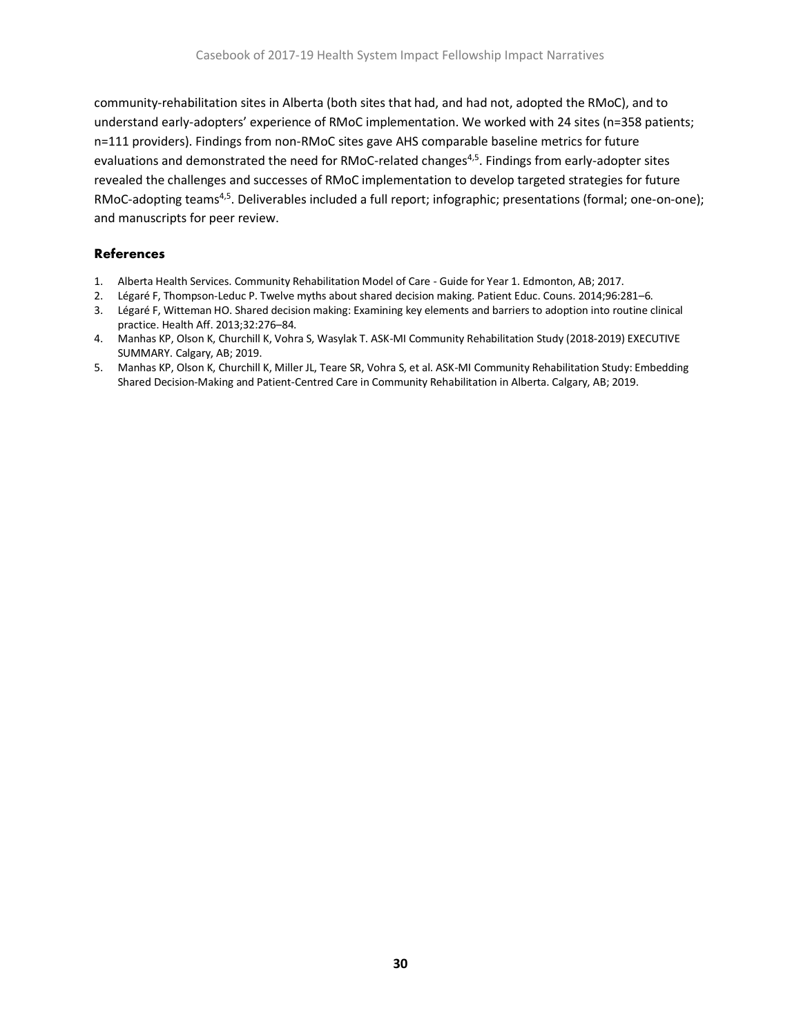community-rehabilitation sites in Alberta (both sites that had, and had not, adopted the RMoC), and to understand early-adopters' experience of RMoC implementation. We worked with 24 sites (n=358 patients; n=111 providers). Findings from non-RMoC sites gave AHS comparable baseline metrics for future evaluations and demonstrated the need for RMoC-related changes<sup>4,5</sup>. Findings from early-adopter sites revealed the challenges and successes of RMoC implementation to develop targeted strategies for future RMoC-adopting teams<sup>4,5</sup>. Deliverables included a full report; infographic; presentations (formal; one-on-one); and manuscripts for peer review.

#### **References**

- 1. Alberta Health Services. Community Rehabilitation Model of Care Guide for Year 1. Edmonton, AB; 2017.
- 2. Légaré F, Thompson-Leduc P. Twelve myths about shared decision making. Patient Educ. Couns. 2014;96:281–6.
- 3. Légaré F, Witteman HO. Shared decision making: Examining key elements and barriers to adoption into routine clinical practice. Health Aff. 2013;32:276–84.
- 4. Manhas KP, Olson K, Churchill K, Vohra S, Wasylak T. ASK-MI Community Rehabilitation Study (2018-2019) EXECUTIVE SUMMARY. Calgary, AB; 2019.
- 5. Manhas KP, Olson K, Churchill K, Miller JL, Teare SR, Vohra S, et al. ASK-MI Community Rehabilitation Study: Embedding Shared Decision-Making and Patient-Centred Care in Community Rehabilitation in Alberta. Calgary, AB; 2019.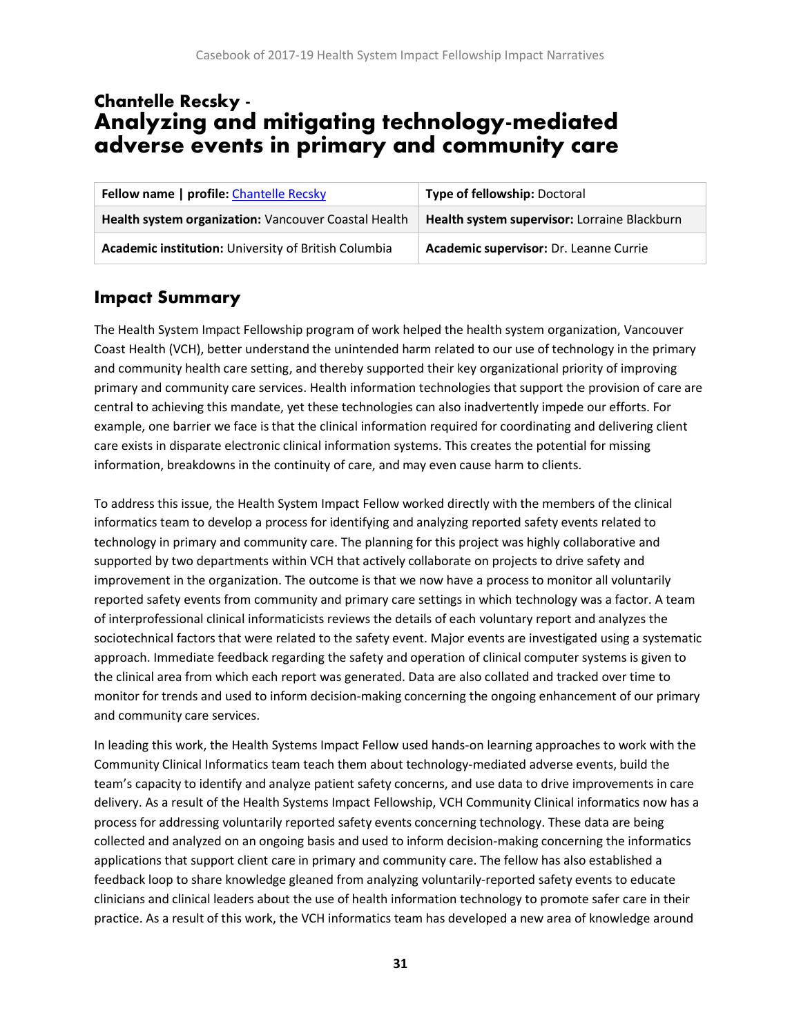# <span id="page-31-0"></span>Chantelle Recsky - Analyzing and mitigating technology-mediated adverse events in primary and community care

| <b>Fellow name   profile: Chantelle Recsky</b>       | Type of fellowship: Doctoral                 |
|------------------------------------------------------|----------------------------------------------|
| Health system organization: Vancouver Coastal Health | Health system supervisor: Lorraine Blackburn |
| Academic institution: University of British Columbia | Academic supervisor: Dr. Leanne Currie       |

## **Impact Summary**

The Health System Impact Fellowship program of work helped the health system organization, Vancouver Coast Health (VCH), better understand the unintended harm related to our use of technology in the primary and community health care setting, and thereby supported their key organizational priority of improving primary and community care services. Health information technologies that support the provision of care are central to achieving this mandate, yet these technologies can also inadvertently impede our efforts. For example, one barrier we face is that the clinical information required for coordinating and delivering client care exists in disparate electronic clinical information systems. This creates the potential for missing information, breakdowns in the continuity of care, and may even cause harm to clients.

To address this issue, the Health System Impact Fellow worked directly with the members of the clinical informatics team to develop a process for identifying and analyzing reported safety events related to technology in primary and community care. The planning for this project was highly collaborative and supported by two departments within VCH that actively collaborate on projects to drive safety and improvement in the organization. The outcome is that we now have a process to monitor all voluntarily reported safety events from community and primary care settings in which technology was a factor. A team of interprofessional clinical informaticists reviews the details of each voluntary report and analyzes the sociotechnical factors that were related to the safety event. Major events are investigated using a systematic approach. Immediate feedback regarding the safety and operation of clinical computer systems is given to the clinical area from which each report was generated. Data are also collated and tracked over time to monitor for trends and used to inform decision-making concerning the ongoing enhancement of our primary and community care services.

In leading this work, the Health Systems Impact Fellow used hands-on learning approaches to work with the Community Clinical Informatics team teach them about technology-mediated adverse events, build the team's capacity to identify and analyze patient safety concerns, and use data to drive improvements in care delivery. As a result of the Health Systems Impact Fellowship, VCH Community Clinical informatics now has a process for addressing voluntarily reported safety events concerning technology. These data are being collected and analyzed on an ongoing basis and used to inform decision-making concerning the informatics applications that support client care in primary and community care. The fellow has also established a feedback loop to share knowledge gleaned from analyzing voluntarily-reported safety events to educate clinicians and clinical leaders about the use of health information technology to promote safer care in their practice. As a result of this work, the VCH informatics team has developed a new area of knowledge around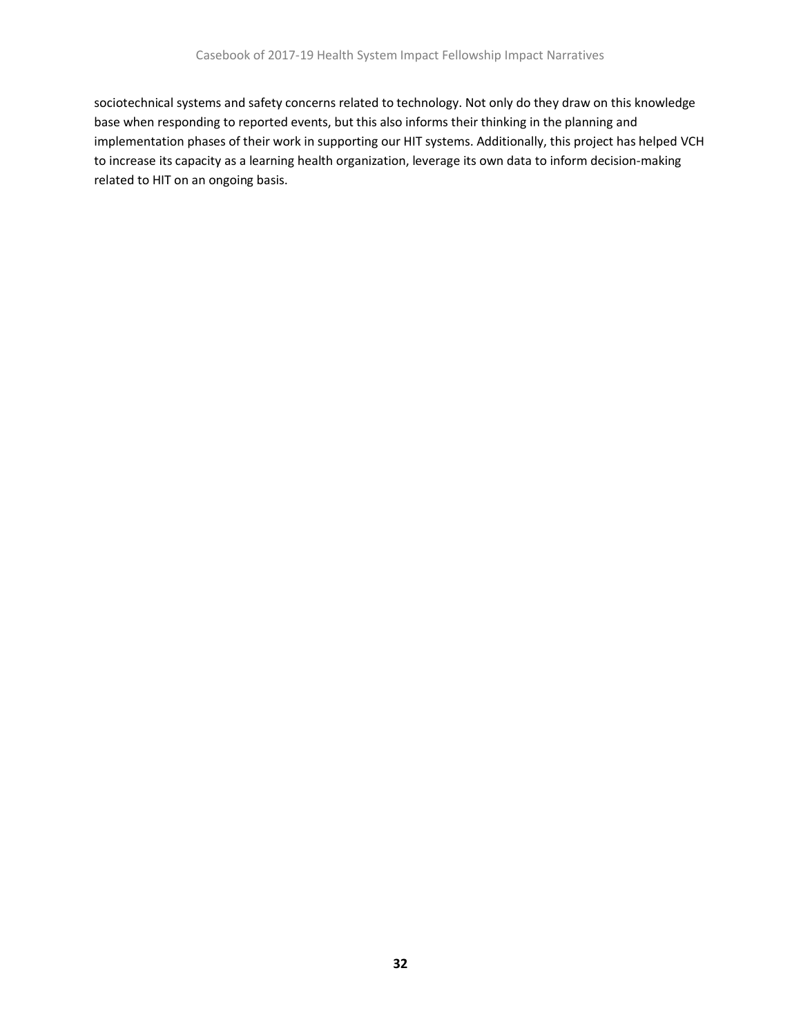sociotechnical systems and safety concerns related to technology. Not only do they draw on this knowledge base when responding to reported events, but this also informs their thinking in the planning and implementation phases of their work in supporting our HIT systems. Additionally, this project has helped VCH to increase its capacity as a learning health organization, leverage its own data to inform decision-making related to HIT on an ongoing basis.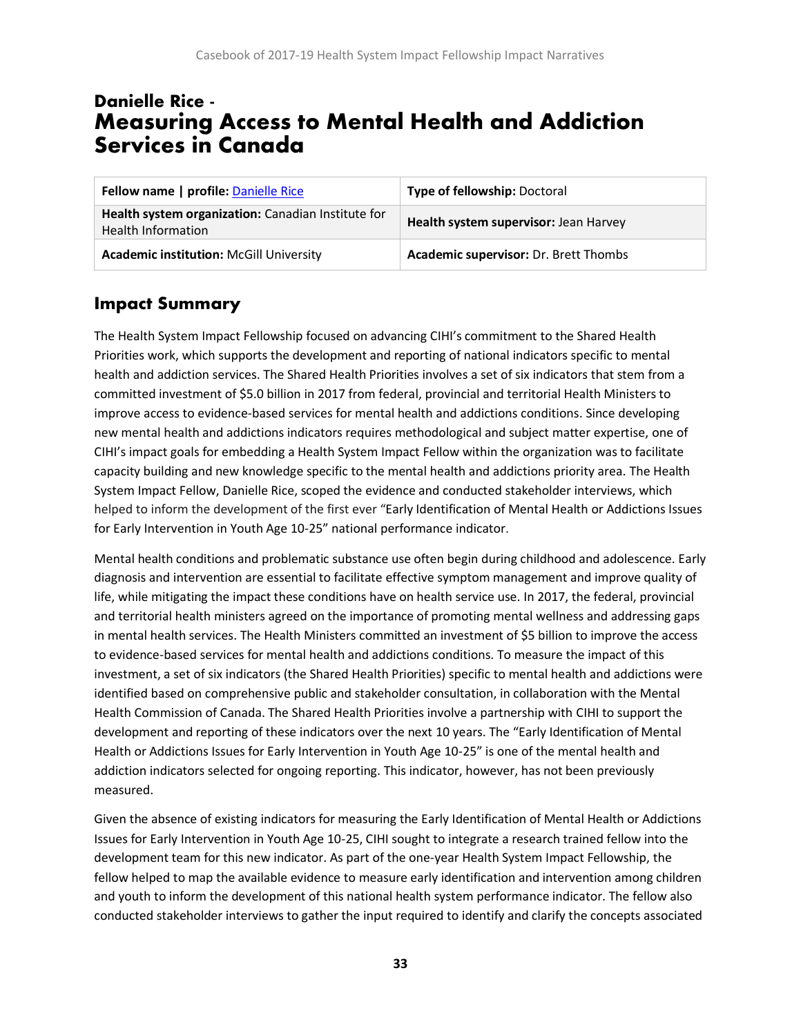# <span id="page-33-0"></span>Danielle Rice - Measuring Access to Mental Health and Addiction Services in Canada

| Fellow name   profile: Danielle Rice                                            | <b>Type of fellowship: Doctoral</b>   |
|---------------------------------------------------------------------------------|---------------------------------------|
| Health system organization: Canadian Institute for<br><b>Health Information</b> | Health system supervisor: Jean Harvey |
| <b>Academic institution: McGill University</b>                                  | Academic supervisor: Dr. Brett Thombs |

## **Impact Summary**

The Health System Impact Fellowship focused on advancing CIHI's commitment to the Shared Health Priorities work, which supports the development and reporting of national indicators specific to mental health and addiction services. The Shared Health Priorities involves a set of six indicators that stem from a committed investment of \$5.0 billion in 2017 from federal, provincial and territorial Health Ministers to improve access to evidence-based services for mental health and addictions conditions. Since developing new mental health and addictions indicators requires methodological and subject matter expertise, one of CIHI's impact goals for embedding a Health System Impact Fellow within the organization was to facilitate capacity building and new knowledge specific to the mental health and addictions priority area. The Health System Impact Fellow, Danielle Rice, scoped the evidence and conducted stakeholder interviews, which helped to inform the development of the first ever "Early Identification of Mental Health or Addictions Issues for Early Intervention in Youth Age 10-25" national performance indicator.

Mental health conditions and problematic substance use often begin during childhood and adolescence. Early diagnosis and intervention are essential to facilitate effective symptom management and improve quality of life, while mitigating the impact these conditions have on health service use. In 2017, the federal, provincial and territorial health ministers agreed on the importance of promoting mental wellness and addressing gaps in mental health services. The Health Ministers committed an investment of \$5 billion to improve the access to evidence-based services for mental health and addictions conditions. To measure the impact of this investment, a set of six indicators (the Shared Health Priorities) specific to mental health and addictions were identified based on comprehensive public and stakeholder consultation, in collaboration with the Mental Health Commission of Canada. The Shared Health Priorities involve a partnership with CIHI to support the development and reporting of these indicators over the next 10 years. The "Early Identification of Mental Health or Addictions Issues for Early Intervention in Youth Age 10-25" is one of the mental health and addiction indicators selected for ongoing reporting. This indicator, however, has not been previously measured.

Given the absence of existing indicators for measuring the Early Identification of Mental Health or Addictions Issues for Early Intervention in Youth Age 10-25, CIHI sought to integrate a research trained fellow into the development team for this new indicator. As part of the one-year Health System Impact Fellowship, the fellow helped to map the available evidence to measure early identification and intervention among children and youth to inform the development of this national health system performance indicator. The fellow also conducted stakeholder interviews to gather the input required to identify and clarify the concepts associated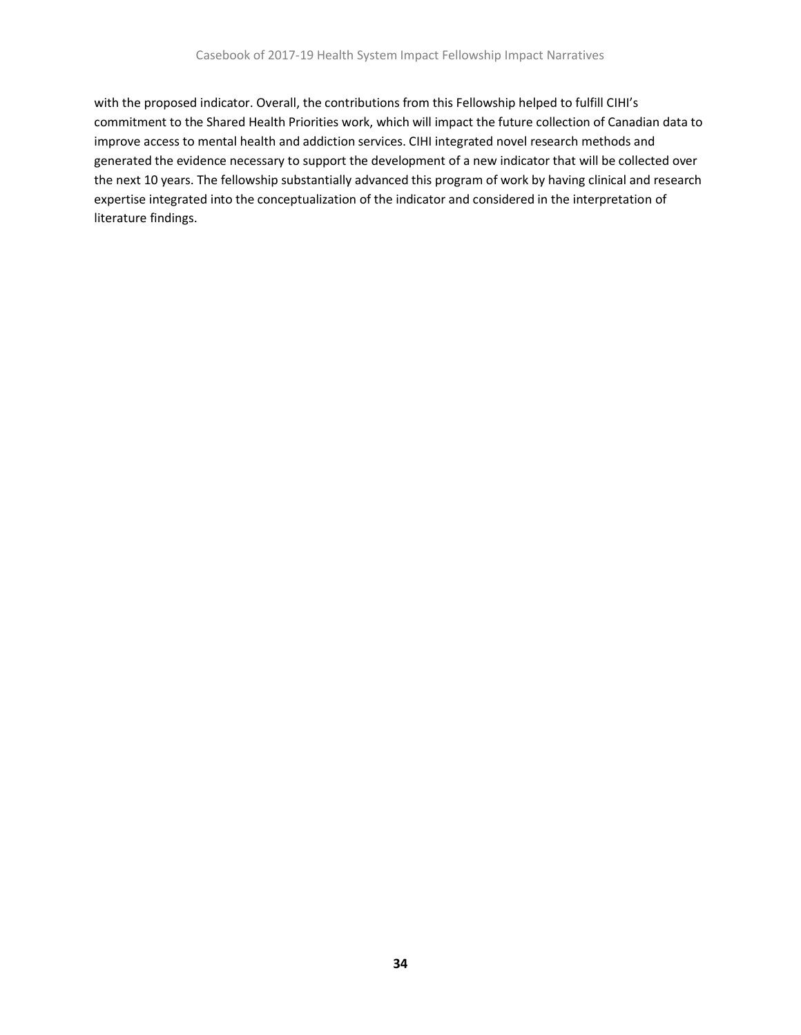with the proposed indicator. Overall, the contributions from this Fellowship helped to fulfill CIHI's commitment to the Shared Health Priorities work, which will impact the future collection of Canadian data to improve access to mental health and addiction services. CIHI integrated novel research methods and generated the evidence necessary to support the development of a new indicator that will be collected over the next 10 years. The fellowship substantially advanced this program of work by having clinical and research expertise integrated into the conceptualization of the indicator and considered in the interpretation of literature findings.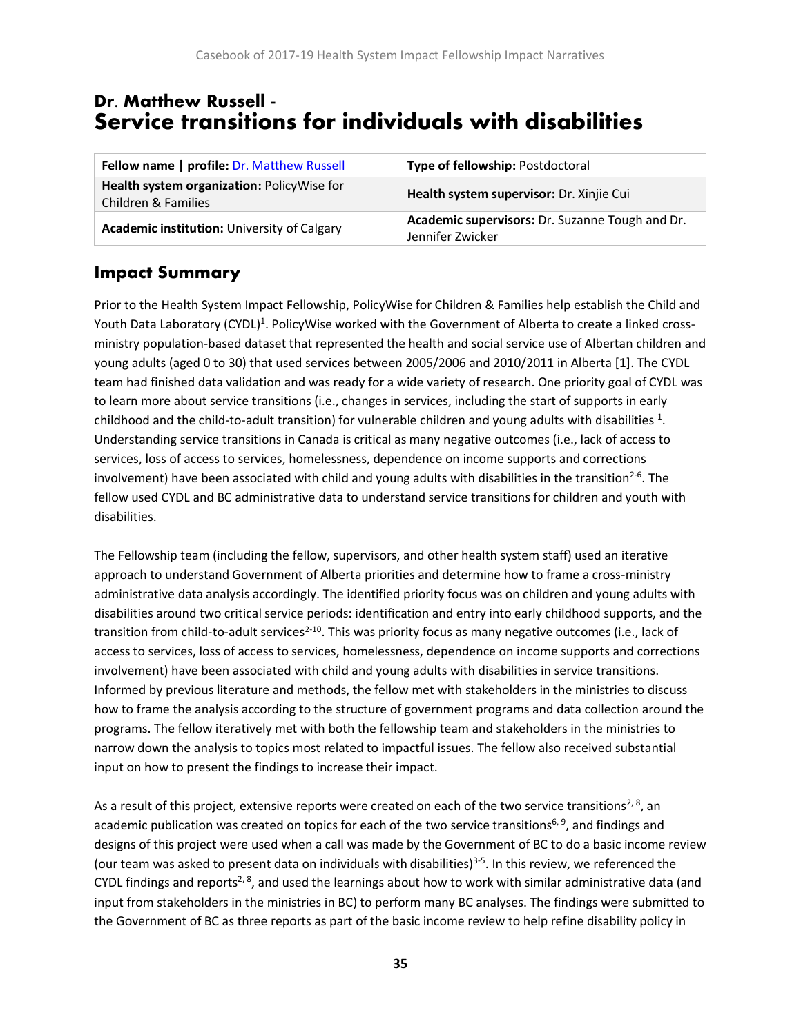## <span id="page-35-0"></span>Dr. Matthew Russell - Service transitions for individuals with disabilities

| Fellow name   profile: Dr. Matthew Russell                        | Type of fellowship: Postdoctoral                                    |
|-------------------------------------------------------------------|---------------------------------------------------------------------|
| Health system organization: PolicyWise for<br>Children & Families | Health system supervisor: Dr. Xinjie Cui                            |
| <b>Academic institution: University of Calgary</b>                | Academic supervisors: Dr. Suzanne Tough and Dr.<br>Jennifer Zwicker |

## **Impact Summary**

Prior to the Health System Impact Fellowship, PolicyWise for Children & Families help establish the Child and Youth Data Laboratory (CYDL)<sup>1</sup>. PolicyWise worked with the Government of Alberta to create a linked crossministry population-based dataset that represented the health and social service use of Albertan children and young adults (aged 0 to 30) that used services between 2005/2006 and 2010/2011 in Alberta [1]. The CYDL team had finished data validation and was ready for a wide variety of research. One priority goal of CYDL was to learn more about service transitions (i.e., changes in services, including the start of supports in early childhood and the child-to-adult transition) for vulnerable children and young adults with disabilities  $^{1}$ . Understanding service transitions in Canada is critical as many negative outcomes (i.e., lack of access to services, loss of access to services, homelessness, dependence on income supports and corrections involvement) have been associated with child and young adults with disabilities in the transition<sup>2-6</sup>. The fellow used CYDL and BC administrative data to understand service transitions for children and youth with disabilities.

The Fellowship team (including the fellow, supervisors, and other health system staff) used an iterative approach to understand Government of Alberta priorities and determine how to frame a cross-ministry administrative data analysis accordingly. The identified priority focus was on children and young adults with disabilities around two critical service periods: identification and entry into early childhood supports, and the transition from child-to-adult services<sup>2-10</sup>. This was priority focus as many negative outcomes (i.e., lack of access to services, loss of access to services, homelessness, dependence on income supports and corrections involvement) have been associated with child and young adults with disabilities in service transitions. Informed by previous literature and methods, the fellow met with stakeholders in the ministries to discuss how to frame the analysis according to the structure of government programs and data collection around the programs. The fellow iteratively met with both the fellowship team and stakeholders in the ministries to narrow down the analysis to topics most related to impactful issues. The fellow also received substantial input on how to present the findings to increase their impact.

As a result of this project, extensive reports were created on each of the two service transitions<sup>2, 8</sup>, an academic publication was created on topics for each of the two service transitions<sup>6, 9</sup>, and findings and designs of this project were used when a call was made by the Government of BC to do a basic income review (our team was asked to present data on individuals with disabilities)<sup>3-5</sup>. In this review, we referenced the CYDL findings and reports<sup>2, 8</sup>, and used the learnings about how to work with similar administrative data (and input from stakeholders in the ministries in BC) to perform many BC analyses. The findings were submitted to the Government of BC as three reports as part of the basic income review to help refine disability policy in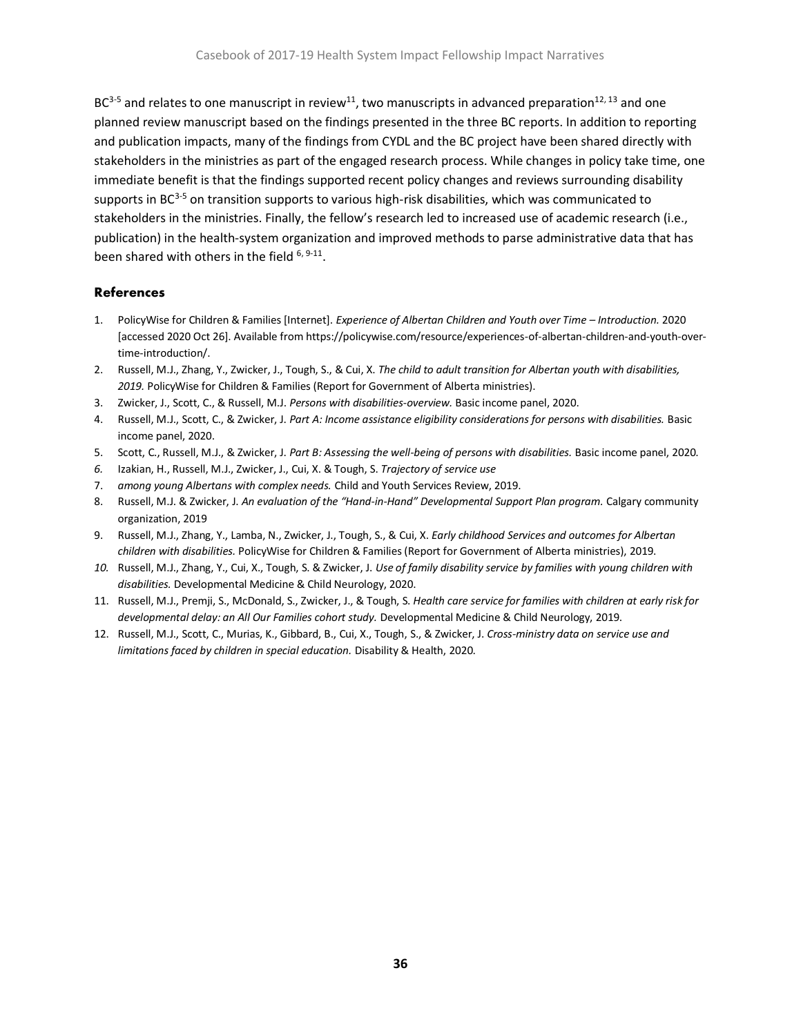$BC<sup>3-5</sup>$  and relates to one manuscript in review<sup>11</sup>, two manuscripts in advanced preparation<sup>12, 13</sup> and one planned review manuscript based on the findings presented in the three BC reports. In addition to reporting and publication impacts, many of the findings from CYDL and the BC project have been shared directly with stakeholders in the ministries as part of the engaged research process. While changes in policy take time, one immediate benefit is that the findings supported recent policy changes and reviews surrounding disability supports in  $BC<sup>3-5</sup>$  on transition supports to various high-risk disabilities, which was communicated to stakeholders in the ministries. Finally, the fellow's research led to increased use of academic research (i.e., publication) in the health-system organization and improved methods to parse administrative data that has been shared with others in the field <sup>6, 9-11</sup>.

#### **References**

- 1. PolicyWise for Children & Families [Internet]. *Experience of Albertan Children and Youth over Time – Introduction.* 2020 [accessed 2020 Oct 26]. Available from https://policywise.com/resource/experiences-of-albertan-children-and-youth-overtime-introduction/.
- 2. Russell, M.J., Zhang, Y., Zwicker, J., Tough, S., & Cui, X. *The child to adult transition for Albertan youth with disabilities, 2019.* PolicyWise for Children & Families (Report for Government of Alberta ministries).
- 3. Zwicker, J., Scott, C., & Russell, M.J. *Persons with disabilities-overview.* Basic income panel, 2020.
- 4. Russell, M.J., Scott, C., & Zwicker, J. *Part A: Income assistance eligibility considerations for persons with disabilities.* Basic income panel, 2020.
- 5. Scott, C., Russell, M.J., & Zwicker, J. *Part B: Assessing the well-being of persons with disabilities.* Basic income panel, 2020.
- *6.* Izakian, H., Russell, M.J., Zwicker, J., Cui, X. & Tough, S. *Trajectory of service use*
- 7. *among young Albertans with complex needs.* Child and Youth Services Review, 2019.
- 8. Russell, M.J. & Zwicker, J. *An evaluation of the "Hand-in-Hand" Developmental Support Plan program.* Calgary community organization, 2019
- 9. Russell, M.J., Zhang, Y., Lamba, N., Zwicker, J., Tough, S., & Cui, X. *Early childhood Services and outcomes for Albertan children with disabilities.* PolicyWise for Children & Families (Report for Government of Alberta ministries), 2019.
- *10.* Russell, M.J., Zhang, Y., Cui, X., Tough, S. & Zwicker, J. *Use of family disability service by families with young children with disabilities.* Developmental Medicine & Child Neurology, 2020.
- 11. Russell, M.J., Premji, S., McDonald, S., Zwicker, J., & Tough, S. *Health care service for families with children at early risk for developmental delay: an All Our Families cohort study.* Developmental Medicine & Child Neurology, 2019.
- 12. Russell, M.J., Scott, C., Murias, K., Gibbard, B., Cui, X., Tough, S., & Zwicker, J. *Cross-ministry data on service use and limitations faced by children in special education.* Disability & Health, 2020.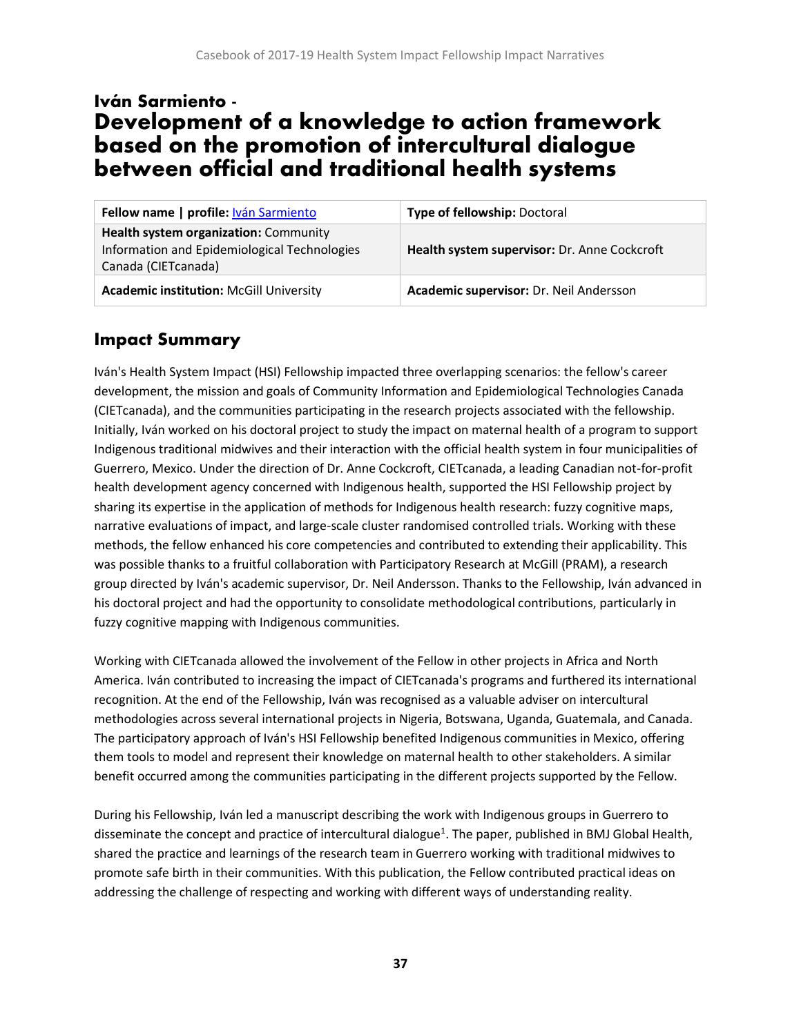# <span id="page-37-0"></span>Iván Sarmiento - Development of a knowledge to action framework based on the promotion of intercultural dialogue between official and traditional health systems

| Fellow name   profile: Iván Sarmiento                                                                        | Type of fellowship: Doctoral                 |
|--------------------------------------------------------------------------------------------------------------|----------------------------------------------|
| Health system organization: Community<br>Information and Epidemiological Technologies<br>Canada (CIETcanada) | Health system supervisor: Dr. Anne Cockcroft |
| <b>Academic institution: McGill University</b>                                                               | Academic supervisor: Dr. Neil Andersson      |

## **Impact Summary**

Iván's Health System Impact (HSI) Fellowship impacted three overlapping scenarios: the fellow's career development, the mission and goals of Community Information and Epidemiological Technologies Canada (CIETcanada), and the communities participating in the research projects associated with the fellowship. Initially, Iván worked on his doctoral project to study the impact on maternal health of a program to support Indigenous traditional midwives and their interaction with the official health system in four municipalities of Guerrero, Mexico. Under the direction of Dr. Anne Cockcroft, CIETcanada, a leading Canadian not-for-profit health development agency concerned with Indigenous health, supported the HSI Fellowship project by sharing its expertise in the application of methods for Indigenous health research: fuzzy cognitive maps, narrative evaluations of impact, and large-scale cluster randomised controlled trials. Working with these methods, the fellow enhanced his core competencies and contributed to extending their applicability. This was possible thanks to a fruitful collaboration with Participatory Research at McGill (PRAM), a research group directed by Iván's academic supervisor, Dr. Neil Andersson. Thanks to the Fellowship, Iván advanced in his doctoral project and had the opportunity to consolidate methodological contributions, particularly in fuzzy cognitive mapping with Indigenous communities.

Working with CIETcanada allowed the involvement of the Fellow in other projects in Africa and North America. Iván contributed to increasing the impact of CIETcanada's programs and furthered its international recognition. At the end of the Fellowship, Iván was recognised as a valuable adviser on intercultural methodologies across several international projects in Nigeria, Botswana, Uganda, Guatemala, and Canada. The participatory approach of Iván's HSI Fellowship benefited Indigenous communities in Mexico, offering them tools to model and represent their knowledge on maternal health to other stakeholders. A similar benefit occurred among the communities participating in the different projects supported by the Fellow.

During his Fellowship, Iván led a manuscript describing the work with Indigenous groups in Guerrero to disseminate the concept and practice of intercultural dialogue<sup>1</sup>. The paper, published in BMJ Global Health, shared the practice and learnings of the research team in Guerrero working with traditional midwives to promote safe birth in their communities. With this publication, the Fellow contributed practical ideas on addressing the challenge of respecting and working with different ways of understanding reality.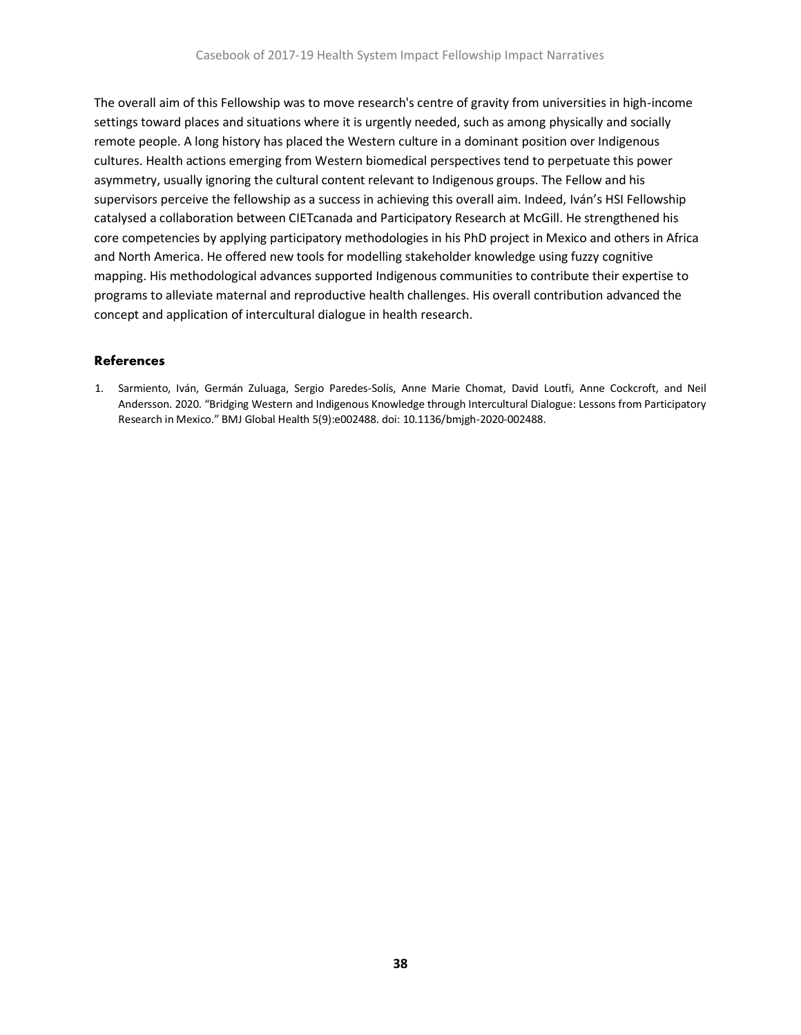The overall aim of this Fellowship was to move research's centre of gravity from universities in high-income settings toward places and situations where it is urgently needed, such as among physically and socially remote people. A long history has placed the Western culture in a dominant position over Indigenous cultures. Health actions emerging from Western biomedical perspectives tend to perpetuate this power asymmetry, usually ignoring the cultural content relevant to Indigenous groups. The Fellow and his supervisors perceive the fellowship as a success in achieving this overall aim. Indeed, Iván's HSI Fellowship catalysed a collaboration between CIETcanada and Participatory Research at McGill. He strengthened his core competencies by applying participatory methodologies in his PhD project in Mexico and others in Africa and North America. He offered new tools for modelling stakeholder knowledge using fuzzy cognitive mapping. His methodological advances supported Indigenous communities to contribute their expertise to programs to alleviate maternal and reproductive health challenges. His overall contribution advanced the concept and application of intercultural dialogue in health research.

#### **References**

1. Sarmiento, Iván, Germán Zuluaga, Sergio Paredes-Solís, Anne Marie Chomat, David Loutfi, Anne Cockcroft, and Neil Andersson. 2020. "Bridging Western and Indigenous Knowledge through Intercultural Dialogue: Lessons from Participatory Research in Mexico." BMJ Global Health 5(9):e002488. doi: 10.1136/bmjgh-2020-002488.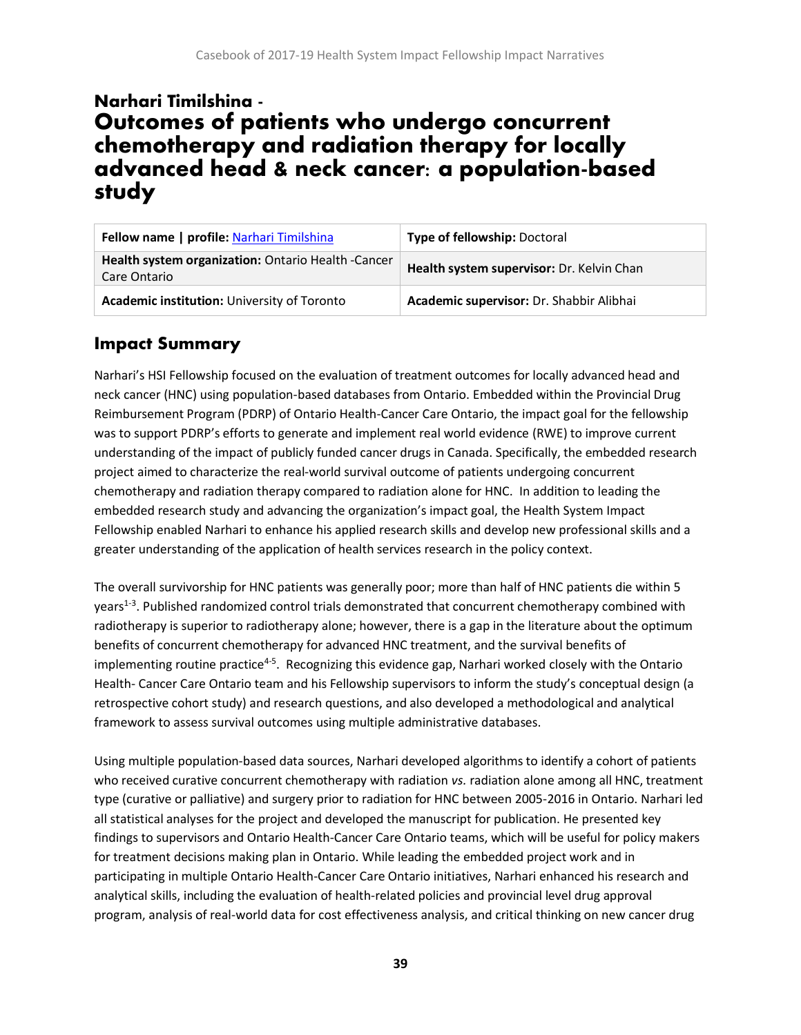# <span id="page-39-0"></span>Narhari Timilshina - Outcomes of patients who undergo concurrent chemotherapy and radiation therapy for locally advanced head & neck cancer: a population-based study

| Fellow name   profile: Narhari Timilshina                          | <b>Type of fellowship: Doctoral</b>       |
|--------------------------------------------------------------------|-------------------------------------------|
| Health system organization: Ontario Health -Cancer<br>Care Ontario | Health system supervisor: Dr. Kelvin Chan |
| Academic institution: University of Toronto                        | Academic supervisor: Dr. Shabbir Alibhai  |

## **Impact Summary**

Narhari's HSI Fellowship focused on the evaluation of treatment outcomes for locally advanced head and neck cancer (HNC) using population-based databases from Ontario. Embedded within the Provincial Drug Reimbursement Program (PDRP) of Ontario Health-Cancer Care Ontario, the impact goal for the fellowship was to support PDRP's efforts to generate and implement real world evidence (RWE) to improve current understanding of the impact of publicly funded cancer drugs in Canada. Specifically, the embedded research project aimed to characterize the real-world survival outcome of patients undergoing concurrent chemotherapy and radiation therapy compared to radiation alone for HNC. In addition to leading the embedded research study and advancing the organization's impact goal, the Health System Impact Fellowship enabled Narhari to enhance his applied research skills and develop new professional skills and a greater understanding of the application of health services research in the policy context.

The overall survivorship for HNC patients was generally poor; more than half of HNC patients die within 5 years<sup>1-3</sup>. Published randomized control trials demonstrated that concurrent chemotherapy combined with radiotherapy is superior to radiotherapy alone; however, there is a gap in the literature about the optimum benefits of concurrent chemotherapy for advanced HNC treatment, and the survival benefits of implementing routine practice<sup>4-5</sup>. Recognizing this evidence gap, Narhari worked closely with the Ontario Health- Cancer Care Ontario team and his Fellowship supervisors to inform the study's conceptual design (a retrospective cohort study) and research questions, and also developed a methodological and analytical framework to assess survival outcomes using multiple administrative databases.

Using multiple population-based data sources, Narhari developed algorithms to identify a cohort of patients who received curative concurrent chemotherapy with radiation *vs.* radiation alone among all HNC, treatment type (curative or palliative) and surgery prior to radiation for HNC between 2005-2016 in Ontario. Narhari led all statistical analyses for the project and developed the manuscript for publication. He presented key findings to supervisors and Ontario Health-Cancer Care Ontario teams, which will be useful for policy makers for treatment decisions making plan in Ontario. While leading the embedded project work and in participating in multiple Ontario Health-Cancer Care Ontario initiatives, Narhari enhanced his research and analytical skills, including the evaluation of health-related policies and provincial level drug approval program, analysis of real-world data for cost effectiveness analysis, and critical thinking on new cancer drug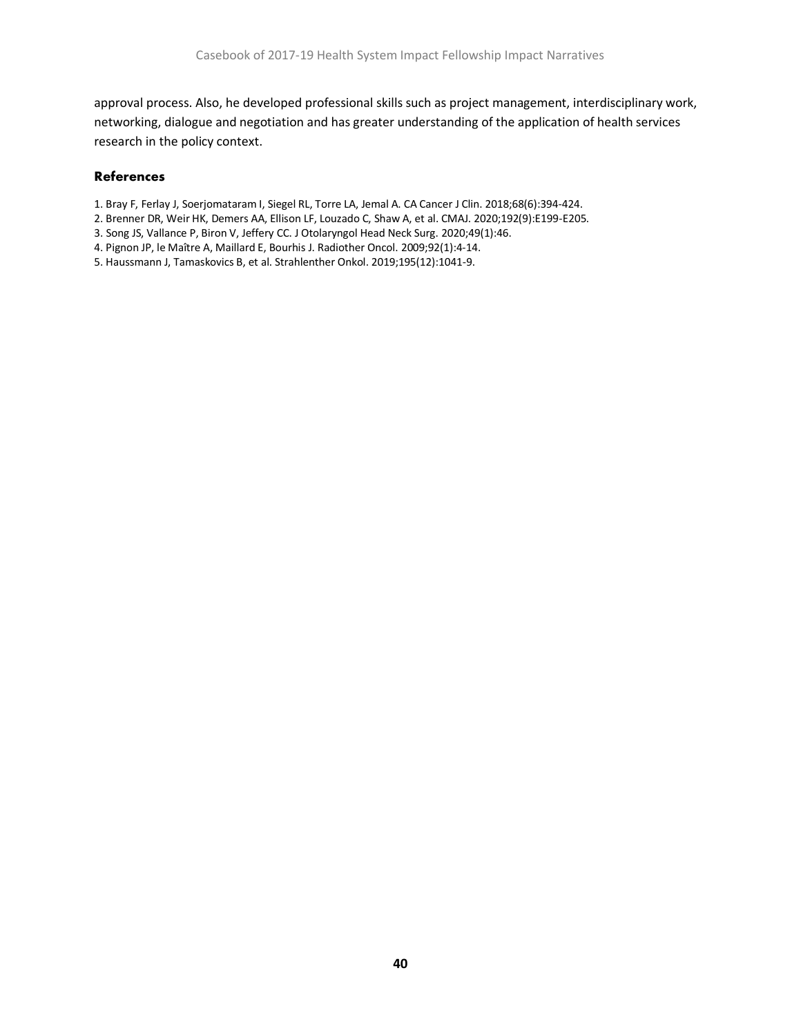approval process. Also, he developed professional skills such as project management, interdisciplinary work, networking, dialogue and negotiation and has greater understanding of the application of health services research in the policy context.

#### **References**

- 1. Bray F, Ferlay J, Soerjomataram I, Siegel RL, Torre LA, Jemal A. CA Cancer J Clin. 2018;68(6):394-424.
- 2. Brenner DR, Weir HK, Demers AA, Ellison LF, Louzado C, Shaw A, et al. CMAJ. 2020;192(9):E199-E205.
- 3. Song JS, Vallance P, Biron V, Jeffery CC. J Otolaryngol Head Neck Surg. 2020;49(1):46.
- 4. Pignon JP, le Maître A, Maillard E, Bourhis J. Radiother Oncol. 2009;92(1):4-14.
- 5. Haussmann J, Tamaskovics B, et al. Strahlenther Onkol. 2019;195(12):1041-9.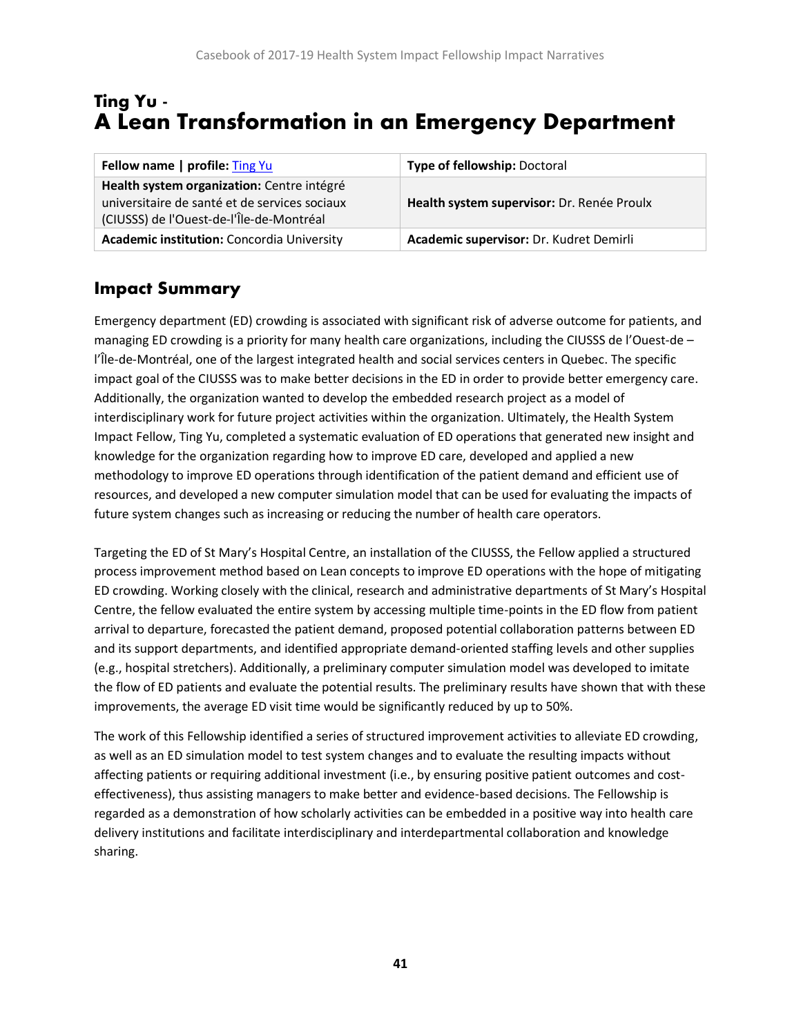# <span id="page-41-0"></span>Ting Yu - A Lean Transformation in an Emergency Department

| Fellow name   profile: Ting Yu                                                                                                          | <b>Type of fellowship: Doctoral</b>        |
|-----------------------------------------------------------------------------------------------------------------------------------------|--------------------------------------------|
| Health system organization: Centre intégré<br>universitaire de santé et de services sociaux<br>(CIUSSS) de l'Ouest-de-l'Île-de-Montréal | Health system supervisor: Dr. Renée Proulx |
| <b>Academic institution:</b> Concordia University                                                                                       | Academic supervisor: Dr. Kudret Demirli    |

## **Impact Summary**

Emergency department (ED) crowding is associated with significant risk of adverse outcome for patients, and managing ED crowding is a priority for many health care organizations, including the CIUSSS de l'Ouest-de – l'Île-de-Montréal, one of the largest integrated health and social services centers in Quebec. The specific impact goal of the CIUSSS was to make better decisions in the ED in order to provide better emergency care. Additionally, the organization wanted to develop the embedded research project as a model of interdisciplinary work for future project activities within the organization. Ultimately, the Health System Impact Fellow, Ting Yu, completed a systematic evaluation of ED operations that generated new insight and knowledge for the organization regarding how to improve ED care, developed and applied a new methodology to improve ED operations through identification of the patient demand and efficient use of resources, and developed a new computer simulation model that can be used for evaluating the impacts of future system changes such as increasing or reducing the number of health care operators.

Targeting the ED of St Mary's Hospital Centre, an installation of the CIUSSS, the Fellow applied a structured process improvement method based on Lean concepts to improve ED operations with the hope of mitigating ED crowding. Working closely with the clinical, research and administrative departments of St Mary's Hospital Centre, the fellow evaluated the entire system by accessing multiple time-points in the ED flow from patient arrival to departure, forecasted the patient demand, proposed potential collaboration patterns between ED and its support departments, and identified appropriate demand-oriented staffing levels and other supplies (e.g., hospital stretchers). Additionally, a preliminary computer simulation model was developed to imitate the flow of ED patients and evaluate the potential results. The preliminary results have shown that with these improvements, the average ED visit time would be significantly reduced by up to 50%.

The work of this Fellowship identified a series of structured improvement activities to alleviate ED crowding, as well as an ED simulation model to test system changes and to evaluate the resulting impacts without affecting patients or requiring additional investment (i.e., by ensuring positive patient outcomes and costeffectiveness), thus assisting managers to make better and evidence-based decisions. The Fellowship is regarded as a demonstration of how scholarly activities can be embedded in a positive way into health care delivery institutions and facilitate interdisciplinary and interdepartmental collaboration and knowledge sharing.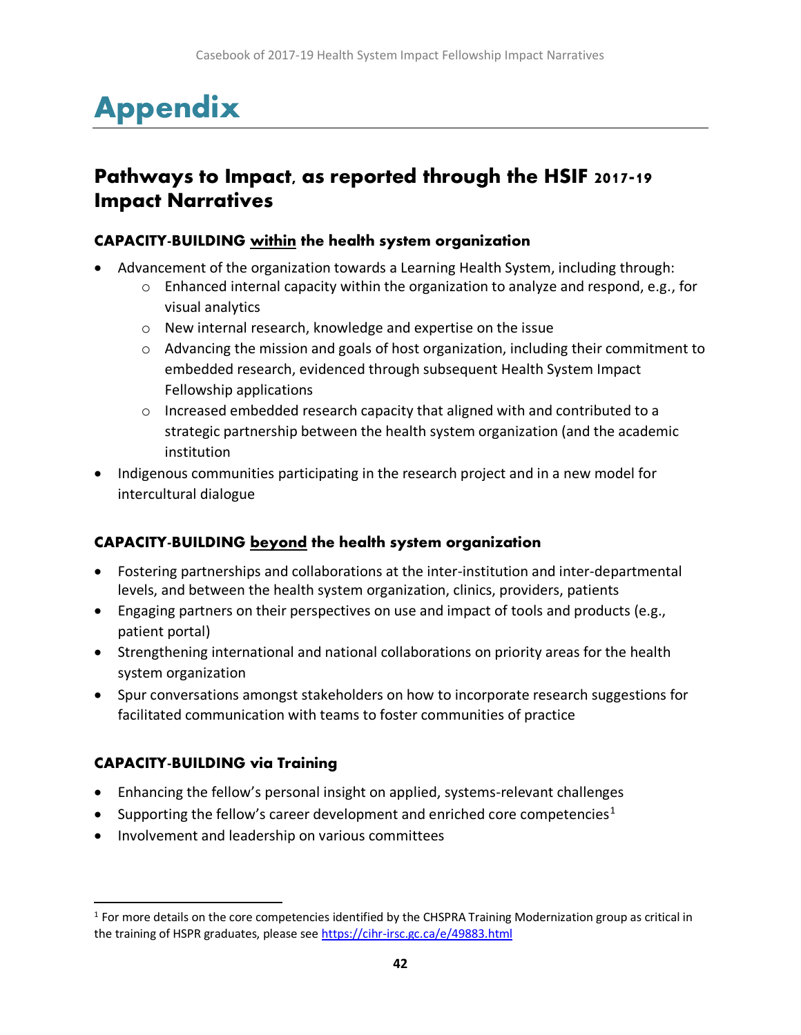# <span id="page-42-0"></span>Appendix

# **Pathways to Impact, as reported through the HSIF 2017-19 Impact Narratives**

#### **CAPACITY-BUILDING** within the health system organization

- Advancement of the organization towards a Learning Health System, including through:
	- o Enhanced internal capacity within the organization to analyze and respond, e.g., for visual analytics
	- o New internal research, knowledge and expertise on the issue
	- $\circ$  Advancing the mission and goals of host organization, including their commitment to embedded research, evidenced through subsequent Health System Impact Fellowship applications
	- $\circ$  Increased embedded research capacity that aligned with and contributed to a strategic partnership between the health system organization (and the academic institution
- Indigenous communities participating in the research project and in a new model for intercultural dialogue

#### **CAPACITY-BUILDING** beyond the health system organization

- Fostering partnerships and collaborations at the inter-institution and inter-departmental levels, and between the health system organization, clinics, providers, patients
- Engaging partners on their perspectives on use and impact of tools and products (e.g., patient portal)
- Strengthening international and national collaborations on priority areas for the health system organization
- Spur conversations amongst stakeholders on how to incorporate research suggestions for facilitated communication with teams to foster communities of practice

#### **CAPACITY-BUILDING** via Training

- Enhancing the fellow's personal insight on applied, systems-relevant challenges
- Supporting the fellow's career development and enriched core competencies<sup>1</sup>
- Involvement and leadership on various committees

 $1$  For more details on the core competencies identified by the CHSPRA Training Modernization group as critical in the training of HSPR graduates, please se[e https://cihr-irsc.gc.ca/e/49883.html](https://cihr-irsc.gc.ca/e/49883.html)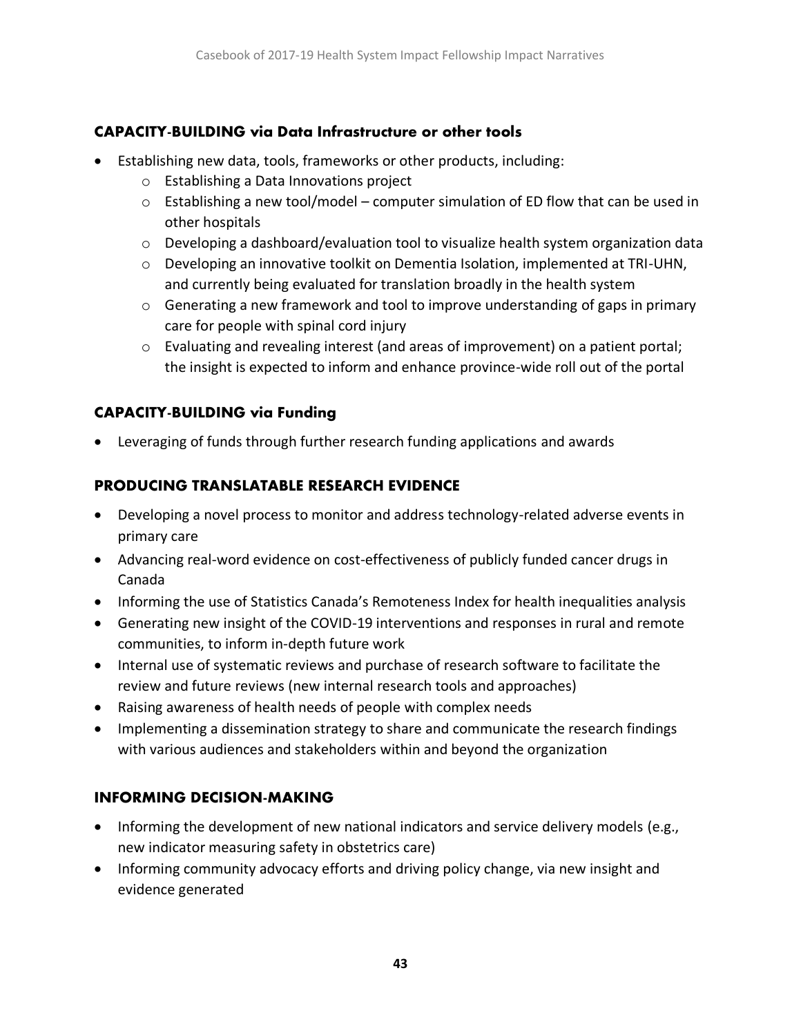#### **CAPACITY-BUILDING via Data Infrastructure or other tools**

- Establishing new data, tools, frameworks or other products, including:
	- o Establishing a Data Innovations project
	- $\circ$  Establishing a new tool/model computer simulation of ED flow that can be used in other hospitals
	- o Developing a dashboard/evaluation tool to visualize health system organization data
	- $\circ$  Developing an innovative toolkit on Dementia Isolation, implemented at TRI-UHN, and currently being evaluated for translation broadly in the health system
	- $\circ$  Generating a new framework and tool to improve understanding of gaps in primary care for people with spinal cord injury
	- o Evaluating and revealing interest (and areas of improvement) on a patient portal; the insight is expected to inform and enhance province-wide roll out of the portal

### **CAPACITY-BUILDING via Funding**

• Leveraging of funds through further research funding applications and awards

## **PRODUCING TRANSLATABLE RESEARCH EVIDENCE**

- Developing a novel process to monitor and address technology-related adverse events in primary care
- Advancing real-word evidence on cost-effectiveness of publicly funded cancer drugs in Canada
- Informing the use of Statistics Canada's Remoteness Index for health inequalities analysis
- Generating new insight of the COVID-19 interventions and responses in rural and remote communities, to inform in-depth future work
- Internal use of systematic reviews and purchase of research software to facilitate the review and future reviews (new internal research tools and approaches)
- Raising awareness of health needs of people with complex needs
- Implementing a dissemination strategy to share and communicate the research findings with various audiences and stakeholders within and beyond the organization

## **INFORMING DECISION-MAKING**

- Informing the development of new national indicators and service delivery models (e.g., new indicator measuring safety in obstetrics care)
- Informing community advocacy efforts and driving policy change, via new insight and evidence generated